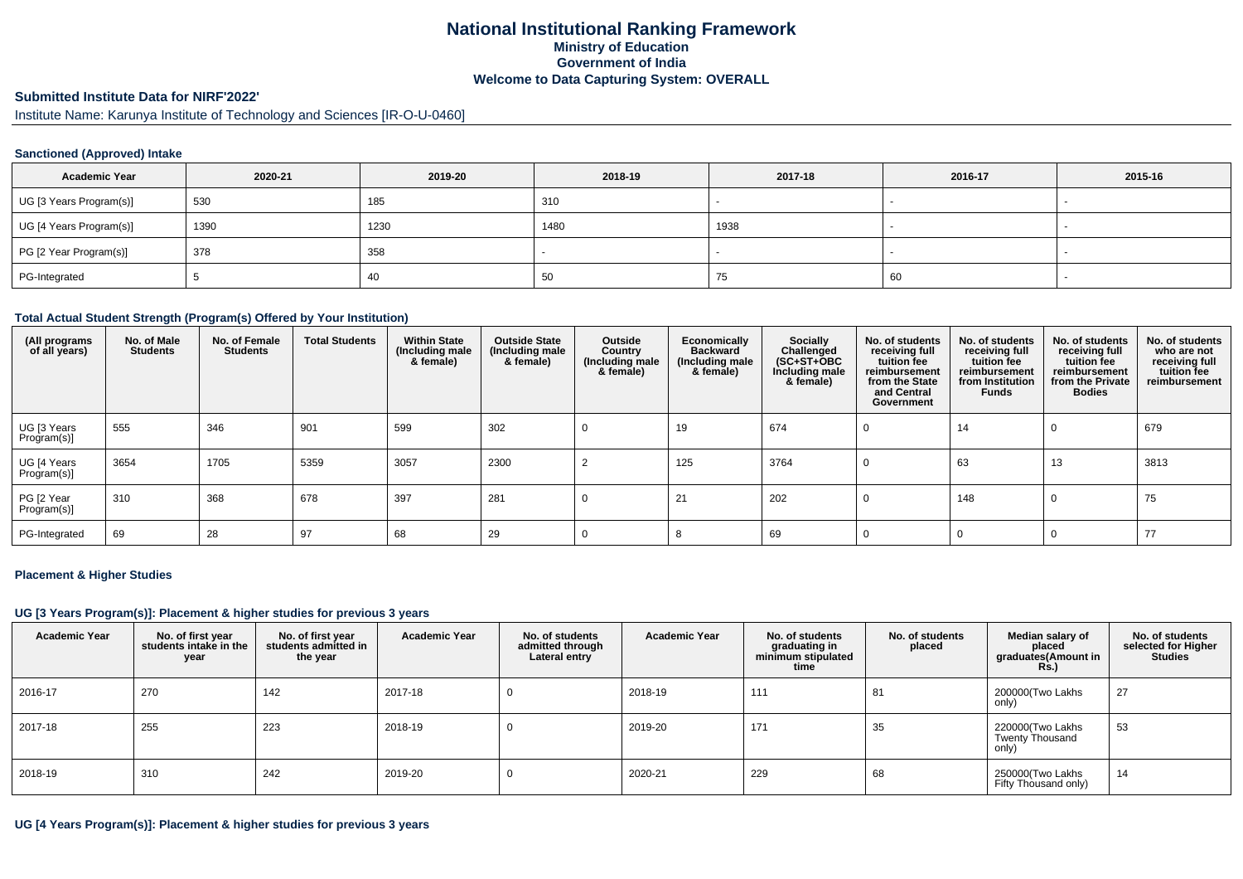## **National Institutional Ranking FrameworkMinistry of Education Government of IndiaWelcome to Data Capturing System: OVERALL**

#### **Submitted Institute Data for NIRF'2022'**

Institute Name: Karunya Institute of Technology and Sciences [IR-O-U-0460]

### **Sanctioned (Approved) Intake**

| <b>Academic Year</b>    | 2020-21 | 2019-20 | 2018-19 | 2017-18 | 2016-17 | 2015-16                  |
|-------------------------|---------|---------|---------|---------|---------|--------------------------|
| UG [3 Years Program(s)] | 530     | 185     | 310     |         |         | $\overline{\phantom{a}}$ |
| UG [4 Years Program(s)] | 1390    | 1230    | 1480    | 1938    |         |                          |
| PG [2 Year Program(s)]  | 378     | 358     |         |         |         |                          |
| PG-Integrated           |         | 40      | 50      | 75      | 60      |                          |

#### **Total Actual Student Strength (Program(s) Offered by Your Institution)**

| (All programs<br>of all years) | No. of Male<br><b>Students</b> | No. of Female<br><b>Students</b> | <b>Total Students</b> | <b>Within State</b><br>(Including male<br>& female) | <b>Outside State</b><br>(Including male<br>& female) | Outside<br>Country<br>(Including male<br>& female) | Economically<br><b>Backward</b><br>(Including male<br>& female) | Socially<br>Challenged<br>$(SC+ST+OBC)$<br>Including male<br>& female) | No. of students<br>receiving full<br>tuition fee<br>reimbursement<br>from the State<br>and Central<br>Government | No. of students<br>receiving full<br>tuition fee<br>reimbursement<br>from Institution<br><b>Funds</b> | No. of students<br>receiving full<br>tuition fee<br>reimbursement<br>from the Private<br><b>Bodies</b> | No. of students<br>who are not<br>receiving full<br>tuition fee<br>reimbursement |
|--------------------------------|--------------------------------|----------------------------------|-----------------------|-----------------------------------------------------|------------------------------------------------------|----------------------------------------------------|-----------------------------------------------------------------|------------------------------------------------------------------------|------------------------------------------------------------------------------------------------------------------|-------------------------------------------------------------------------------------------------------|--------------------------------------------------------------------------------------------------------|----------------------------------------------------------------------------------|
| UG [3 Years<br>Program(s)]     | 555                            | 346                              | 901                   | 599                                                 | 302                                                  |                                                    | 19                                                              | 674                                                                    | U                                                                                                                | 14                                                                                                    | 0                                                                                                      | 679                                                                              |
| UG [4 Years<br>Program(s)]     | 3654                           | 1705                             | 5359                  | 3057                                                | 2300                                                 |                                                    | 125                                                             | 3764                                                                   | <b>U</b>                                                                                                         | 63                                                                                                    | 13                                                                                                     | 3813                                                                             |
| PG [2 Year<br>Program(s)]      | 310                            | 368                              | 678                   | 397                                                 | 281                                                  |                                                    | 21                                                              | 202                                                                    |                                                                                                                  | 148                                                                                                   | 0                                                                                                      | 75                                                                               |
| PG-Integrated                  | 69                             | 28                               | 97                    | 68                                                  | 29                                                   |                                                    |                                                                 | 69                                                                     |                                                                                                                  |                                                                                                       |                                                                                                        | 77                                                                               |

#### **Placement & Higher Studies**

## **UG [3 Years Program(s)]: Placement & higher studies for previous 3 years**

| <b>Academic Year</b> | No. of first year<br>students intake in the<br>year | No. of first year<br>students admitted in<br>the year | <b>Academic Year</b> | No. of students<br>admitted through<br>Lateral entry | <b>Academic Year</b> | No. of students<br>graduating in<br>minimum stipulated<br>time | No. of students<br>placed | Median salary of<br>placed<br>graduates(Amount in<br><b>Rs.)</b> | No. of students<br>selected for Higher<br><b>Studies</b> |
|----------------------|-----------------------------------------------------|-------------------------------------------------------|----------------------|------------------------------------------------------|----------------------|----------------------------------------------------------------|---------------------------|------------------------------------------------------------------|----------------------------------------------------------|
| 2016-17              | 270                                                 | 142                                                   | 2017-18              | 0                                                    | 2018-19              | 111                                                            | 81                        | 200000(Two Lakhs<br>only)                                        | 27                                                       |
| 2017-18              | 255                                                 | 223                                                   | 2018-19              | 0                                                    | 2019-20              | 171                                                            | 35                        | 220000(Two Lakhs<br><b>Twenty Thousand</b><br>only)              | 53                                                       |
| 2018-19              | 310                                                 | 242                                                   | 2019-20              | U                                                    | 2020-21              | 229                                                            | 68                        | 250000(Two Lakhs<br>Fifty Thousand only)                         | 14                                                       |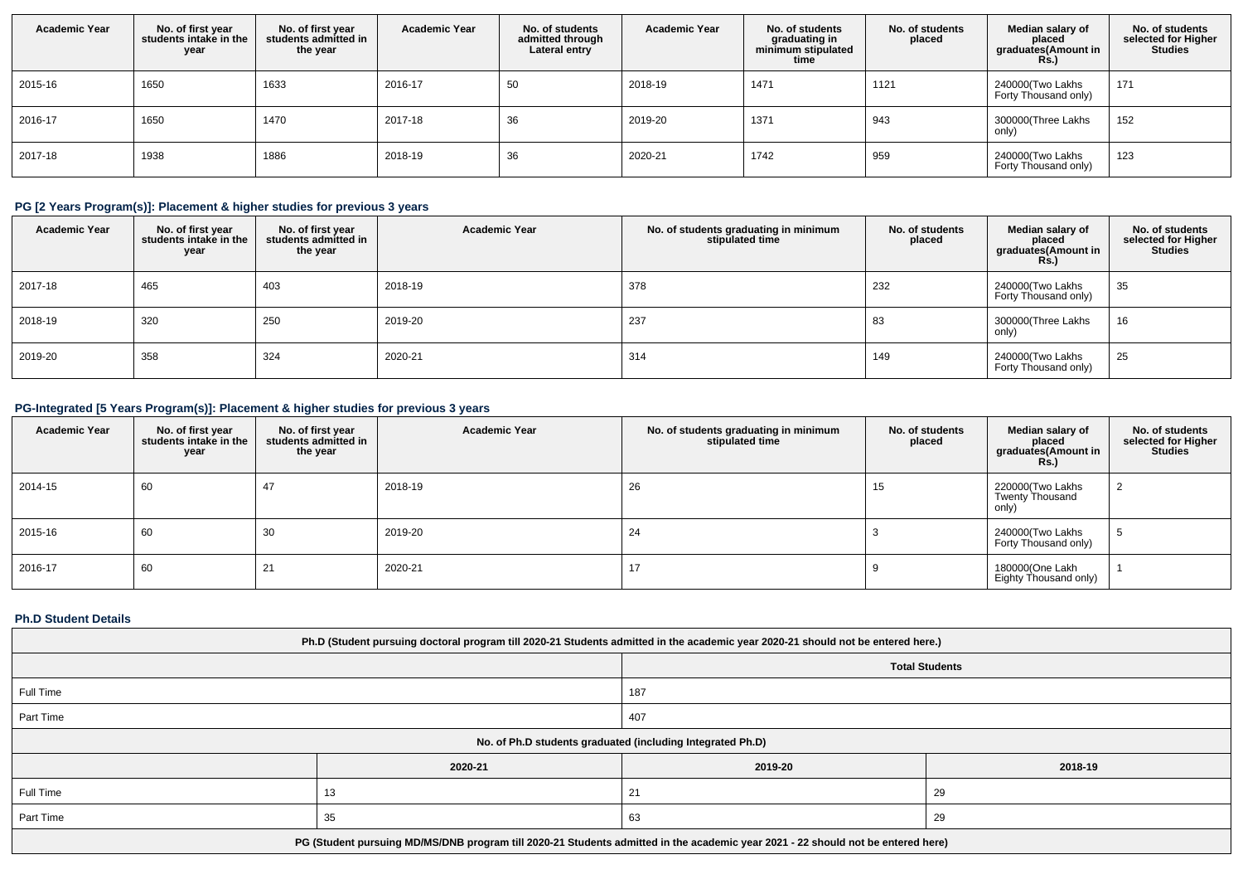| <b>Academic Year</b> | No. of first year<br>students intake in the<br>year | No. of first year<br>students admitted in<br>the year | <b>Academic Year</b> | No. of students<br>admitted through<br>Lateral entry | <b>Academic Year</b> | No. of students<br>graduating in<br>minimum stipulated<br>time | No. of students<br>placed | Median salary of<br>placed<br>graduates(Amount in<br><b>Rs.)</b> | No. of students<br>selected for Higher<br><b>Studies</b> |
|----------------------|-----------------------------------------------------|-------------------------------------------------------|----------------------|------------------------------------------------------|----------------------|----------------------------------------------------------------|---------------------------|------------------------------------------------------------------|----------------------------------------------------------|
| 2015-16              | 1650                                                | 1633                                                  | 2016-17              | 50                                                   | 2018-19              | 1471                                                           | 1121                      | 240000(Two Lakhs<br>Forty Thousand only)                         | 171                                                      |
| 2016-17              | 1650                                                | 1470                                                  | 2017-18              | 36                                                   | 2019-20              | 1371                                                           | 943                       | 300000(Three Lakhs<br>only)                                      | 152                                                      |
| 2017-18              | 1938                                                | 1886                                                  | 2018-19              | 36                                                   | 2020-21              | 1742                                                           | 959                       | 240000(Two Lakhs<br>Forty Thousand only)                         | 123                                                      |

# **PG [2 Years Program(s)]: Placement & higher studies for previous 3 years**

| <b>Academic Year</b> | No. of first year<br>students intake in the<br>year | No. of first vear<br>students admitted in<br>the year | <b>Academic Year</b> | No. of students graduating in minimum<br>stipulated time | No. of students<br>placed | Median salary of<br>placed<br>graduates(Amount in<br><b>Rs.)</b> | No. of students<br>selected for Higher<br><b>Studies</b> |
|----------------------|-----------------------------------------------------|-------------------------------------------------------|----------------------|----------------------------------------------------------|---------------------------|------------------------------------------------------------------|----------------------------------------------------------|
| 2017-18              | 465                                                 | 403                                                   | 2018-19              | 378                                                      | 232                       | 240000(Two Lakhs<br>Forty Thousand only)                         | 35                                                       |
| 2018-19              | 320                                                 | 250                                                   | 2019-20              | 237                                                      | 83                        | 300000(Three Lakhs<br>only)                                      | 16                                                       |
| 2019-20              | 358                                                 | 324                                                   | 2020-21              | 314                                                      | 149                       | 240000(Two Lakhs<br>Forty Thousand only)                         | 25                                                       |

# **PG-Integrated [5 Years Program(s)]: Placement & higher studies for previous 3 years**

| <b>Academic Year</b> | No. of first year<br>students intake in the<br>year | No. of first year<br>students admitted in<br>the year | <b>Academic Year</b> | No. of students graduating in minimum<br>stipulated time | No. of students<br>placed | Median salary of<br>placed<br>graduates(Amount in<br><b>Rs.)</b> | No. of students<br>selected for Higher<br><b>Studies</b> |
|----------------------|-----------------------------------------------------|-------------------------------------------------------|----------------------|----------------------------------------------------------|---------------------------|------------------------------------------------------------------|----------------------------------------------------------|
| 2014-15              | 60                                                  | 47                                                    | 2018-19              | 26                                                       | 15                        | 220000(Two Lakhs<br><b>Twenty Thousand</b><br>only)              |                                                          |
| 2015-16              | 60                                                  | 30                                                    | 2019-20              | 24                                                       |                           | 240000(Two Lakhs<br>Forty Thousand only)                         | G                                                        |
| 2016-17              | 60                                                  | 21                                                    | 2020-21              | 17                                                       |                           | 180000(One Lakh<br>Eighty Thousand only)                         |                                                          |

## **Ph.D Student Details**

| Ph.D (Student pursuing doctoral program till 2020-21 Students admitted in the academic year 2020-21 should not be entered here.) |         |         |         |  |  |
|----------------------------------------------------------------------------------------------------------------------------------|---------|---------|---------|--|--|
| <b>Total Students</b>                                                                                                            |         |         |         |  |  |
| Full Time<br>187                                                                                                                 |         |         |         |  |  |
| Part Time<br>407                                                                                                                 |         |         |         |  |  |
| No. of Ph.D students graduated (including Integrated Ph.D)                                                                       |         |         |         |  |  |
|                                                                                                                                  | 2020-21 | 2019-20 | 2018-19 |  |  |
| Full Time                                                                                                                        | 13      | 21      | 29      |  |  |
| Part Time<br>63<br>29<br>35                                                                                                      |         |         |         |  |  |
| PG (Student pursuing MD/MS/DNB program till 2020-21 Students admitted in the academic year 2021 - 22 should not be entered here) |         |         |         |  |  |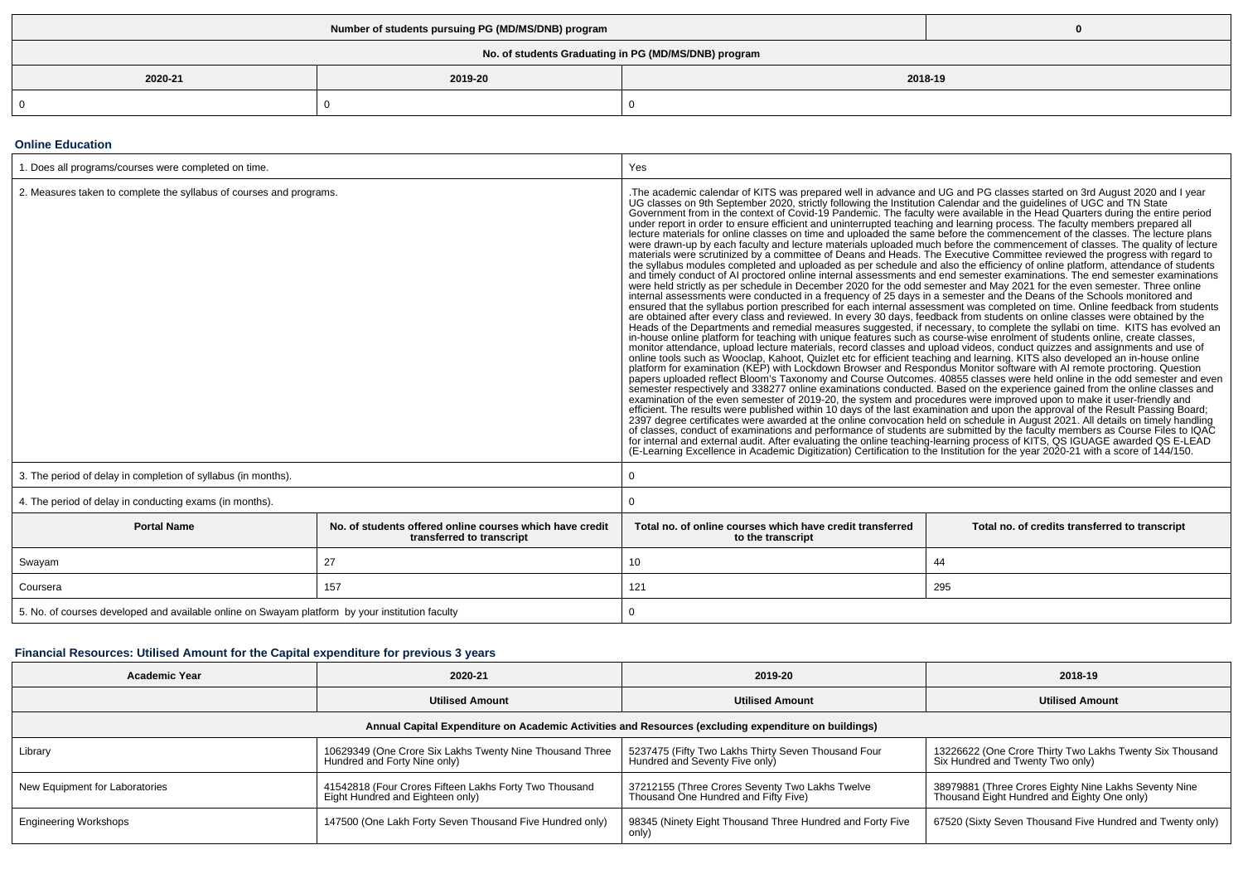| No. of students Graduating in PG (MD/MS/DNB) program |  |  |  |  |
|------------------------------------------------------|--|--|--|--|
| 2020-21<br>2019-20<br>2018-19                        |  |  |  |  |
| $\Omega$                                             |  |  |  |  |

#### **Online Education**

| 1. Does all programs/courses were completed on time.                                                        |     | Yes                                                                                                                                                                                                                                                                                                                                                                                                                                                                                                                                                                                                                                                                                                                                                                                                                                                                                                                                                                                                                                                                                                                                                                                                                                                                                                                                                                                                                                                                                                                                                                                                                                                                                                                                                                                                                                                                                                                                                                                                                                                                                                                                                                                                                                                                                                                                                                                                                                                                                                                                                                                                                                                                                                                                                                                                                                                                                                                                                                                                                                                                                                                                                                                                                                                                                                                                                                             |    |  |
|-------------------------------------------------------------------------------------------------------------|-----|---------------------------------------------------------------------------------------------------------------------------------------------------------------------------------------------------------------------------------------------------------------------------------------------------------------------------------------------------------------------------------------------------------------------------------------------------------------------------------------------------------------------------------------------------------------------------------------------------------------------------------------------------------------------------------------------------------------------------------------------------------------------------------------------------------------------------------------------------------------------------------------------------------------------------------------------------------------------------------------------------------------------------------------------------------------------------------------------------------------------------------------------------------------------------------------------------------------------------------------------------------------------------------------------------------------------------------------------------------------------------------------------------------------------------------------------------------------------------------------------------------------------------------------------------------------------------------------------------------------------------------------------------------------------------------------------------------------------------------------------------------------------------------------------------------------------------------------------------------------------------------------------------------------------------------------------------------------------------------------------------------------------------------------------------------------------------------------------------------------------------------------------------------------------------------------------------------------------------------------------------------------------------------------------------------------------------------------------------------------------------------------------------------------------------------------------------------------------------------------------------------------------------------------------------------------------------------------------------------------------------------------------------------------------------------------------------------------------------------------------------------------------------------------------------------------------------------------------------------------------------------------------------------------------------------------------------------------------------------------------------------------------------------------------------------------------------------------------------------------------------------------------------------------------------------------------------------------------------------------------------------------------------------------------------------------------------------------------------------------------------------|----|--|
| 2. Measures taken to complete the syllabus of courses and programs.                                         |     | The academic calendar of KITS was prepared well in advance and UG and PG classes started on 3rd August 2020 and I year<br>UG classes on 9th September 2020, strictly following the Institution Calendar and the guidelines of UGC and TN State<br>Government from in the context of Covid-19 Pandemic. The faculty were available in the Head Quarters duri<br>under report in order to ensure efficient and uninterrupted teaching and learning process. The faculty members prepared all<br>lecture materials for online classes on time and uploaded the same before the commencement of the classes. The lecture plans<br>were drawn-up by each faculty and lecture materials uploaded much before the commencement of classes. The quality of lecture<br>materials were scrutinized by a committee of Deans and Heads. The Executive Committee reviewed the progress with regard to<br>the syllabus modules completed and uploaded as per schedule and also the efficiency of online platform, attendance of students<br>and timely conduct of AI proctored online internal assessments and end semester examinations. The end semester examinations<br>were held strictly as per schedule in December 2020 for the odd semester and May 2021 for the even semester. Three online<br>internal assessments were conducted in a frequency of 25 days in a semester and the Deans of the Schools monitored and<br>ensured that the syllabus portion prescribed for each internal assessment was completed on time. Online feedback from students<br>are obtained after every class and reviewed. In every 30 days, feedback from students on online classes were obtained by the<br>Heads of the Departments and remedial measures suggested, if necessary, to complete the syllabi on time. KITS has evolved an<br>in-house online platform for teaching with unique features such as course-wise enrolment of students online, create classes,<br>monitor attendance, upload lecture materials, record classes and upload videos, conduct quizzes and assignments and use of<br>online tools such as Wooclap, Kahoot, Quizlet etc for efficient teaching and learning. KITS also developed an in-house online platform for examination (KEP) with Lockdown Browser and Respondus Monitor software with AI remo<br>papers uploaded reflect Bloom's Taxonomy and Course Outcomes. 40855 classes were held online in the odd semester and even<br>semester respectively and 338277 online examinations conducted. Based on the experience gained from the online classes and<br>examination of the even semester of 2019-20, the system and procedures were improved upon to make it user-friendly and<br>efficient. The results were published within 10 days of the last examination and upon the approval of the Result Passing Board;<br>2397 degree certificates were awarded at the online convocation held on schedule in August 2021. All details on timely handling<br>of classes, conduct of examinations and performance of students are submitted by the faculty members as Course Files to IQAC<br>for internal and external audit. After evaluating the online teaching-learning process of KITS, QS IGUAGE awarded QS E-LEAD<br>(E-Learning Excellence in Academic Digitization) Certification to the Institution for the year 2020-21 with a score of 144/150. |    |  |
| 3. The period of delay in completion of syllabus (in months).                                               |     | $\mathbf 0$                                                                                                                                                                                                                                                                                                                                                                                                                                                                                                                                                                                                                                                                                                                                                                                                                                                                                                                                                                                                                                                                                                                                                                                                                                                                                                                                                                                                                                                                                                                                                                                                                                                                                                                                                                                                                                                                                                                                                                                                                                                                                                                                                                                                                                                                                                                                                                                                                                                                                                                                                                                                                                                                                                                                                                                                                                                                                                                                                                                                                                                                                                                                                                                                                                                                                                                                                                     |    |  |
| 4. The period of delay in conducting exams (in months).                                                     |     | $\mathbf 0$                                                                                                                                                                                                                                                                                                                                                                                                                                                                                                                                                                                                                                                                                                                                                                                                                                                                                                                                                                                                                                                                                                                                                                                                                                                                                                                                                                                                                                                                                                                                                                                                                                                                                                                                                                                                                                                                                                                                                                                                                                                                                                                                                                                                                                                                                                                                                                                                                                                                                                                                                                                                                                                                                                                                                                                                                                                                                                                                                                                                                                                                                                                                                                                                                                                                                                                                                                     |    |  |
| <b>Portal Name</b><br>No. of students offered online courses which have credit<br>transferred to transcript |     | Total no, of online courses which have credit transferred<br>Total no. of credits transferred to transcript<br>to the transcript                                                                                                                                                                                                                                                                                                                                                                                                                                                                                                                                                                                                                                                                                                                                                                                                                                                                                                                                                                                                                                                                                                                                                                                                                                                                                                                                                                                                                                                                                                                                                                                                                                                                                                                                                                                                                                                                                                                                                                                                                                                                                                                                                                                                                                                                                                                                                                                                                                                                                                                                                                                                                                                                                                                                                                                                                                                                                                                                                                                                                                                                                                                                                                                                                                                |    |  |
| Swayam                                                                                                      | 27  | 10                                                                                                                                                                                                                                                                                                                                                                                                                                                                                                                                                                                                                                                                                                                                                                                                                                                                                                                                                                                                                                                                                                                                                                                                                                                                                                                                                                                                                                                                                                                                                                                                                                                                                                                                                                                                                                                                                                                                                                                                                                                                                                                                                                                                                                                                                                                                                                                                                                                                                                                                                                                                                                                                                                                                                                                                                                                                                                                                                                                                                                                                                                                                                                                                                                                                                                                                                                              | 44 |  |
| Coursera                                                                                                    | 157 | 121<br>295                                                                                                                                                                                                                                                                                                                                                                                                                                                                                                                                                                                                                                                                                                                                                                                                                                                                                                                                                                                                                                                                                                                                                                                                                                                                                                                                                                                                                                                                                                                                                                                                                                                                                                                                                                                                                                                                                                                                                                                                                                                                                                                                                                                                                                                                                                                                                                                                                                                                                                                                                                                                                                                                                                                                                                                                                                                                                                                                                                                                                                                                                                                                                                                                                                                                                                                                                                      |    |  |
| 5. No. of courses developed and available online on Swayam platform by your institution faculty             |     | 0                                                                                                                                                                                                                                                                                                                                                                                                                                                                                                                                                                                                                                                                                                                                                                                                                                                                                                                                                                                                                                                                                                                                                                                                                                                                                                                                                                                                                                                                                                                                                                                                                                                                                                                                                                                                                                                                                                                                                                                                                                                                                                                                                                                                                                                                                                                                                                                                                                                                                                                                                                                                                                                                                                                                                                                                                                                                                                                                                                                                                                                                                                                                                                                                                                                                                                                                                                               |    |  |

# **Financial Resources: Utilised Amount for the Capital expenditure for previous 3 years**

| <b>Academic Year</b>                                                                                 | 2020-21                                                                                    | 2019-20                                                                                 | 2018-19                                                                                              |  |  |  |
|------------------------------------------------------------------------------------------------------|--------------------------------------------------------------------------------------------|-----------------------------------------------------------------------------------------|------------------------------------------------------------------------------------------------------|--|--|--|
|                                                                                                      | <b>Utilised Amount</b>                                                                     | <b>Utilised Amount</b>                                                                  | <b>Utilised Amount</b>                                                                               |  |  |  |
| Annual Capital Expenditure on Academic Activities and Resources (excluding expenditure on buildings) |                                                                                            |                                                                                         |                                                                                                      |  |  |  |
| Library                                                                                              | 10629349 (One Crore Six Lakhs Twenty Nine Thousand Three<br>Hundred and Forty Nine only)   | 5237475 (Fifty Two Lakhs Thirty Seven Thousand Four<br>Hundred and Seventy Five only)   | 13226622 (One Crore Thirty Two Lakhs Twenty Six Thousand<br>Six Hundred and Twenty Two only)         |  |  |  |
| New Equipment for Laboratories                                                                       | 41542818 (Four Crores Fifteen Lakhs Forty Two Thousand<br>Eight Hundred and Eighteen only) | 37212155 (Three Crores Seventy Two Lakhs Twelve<br>Thousand One Hundred and Fifty Five) | 38979881 (Three Crores Eighty Nine Lakhs Seventy Nine<br>Thousand Eight Hundred and Eighty One only) |  |  |  |
| <b>Engineering Workshops</b>                                                                         | 147500 (One Lakh Forty Seven Thousand Five Hundred only)                                   | 98345 (Ninety Eight Thousand Three Hundred and Forty Five<br>only)                      | 67520 (Sixty Seven Thousand Five Hundred and Twenty only)                                            |  |  |  |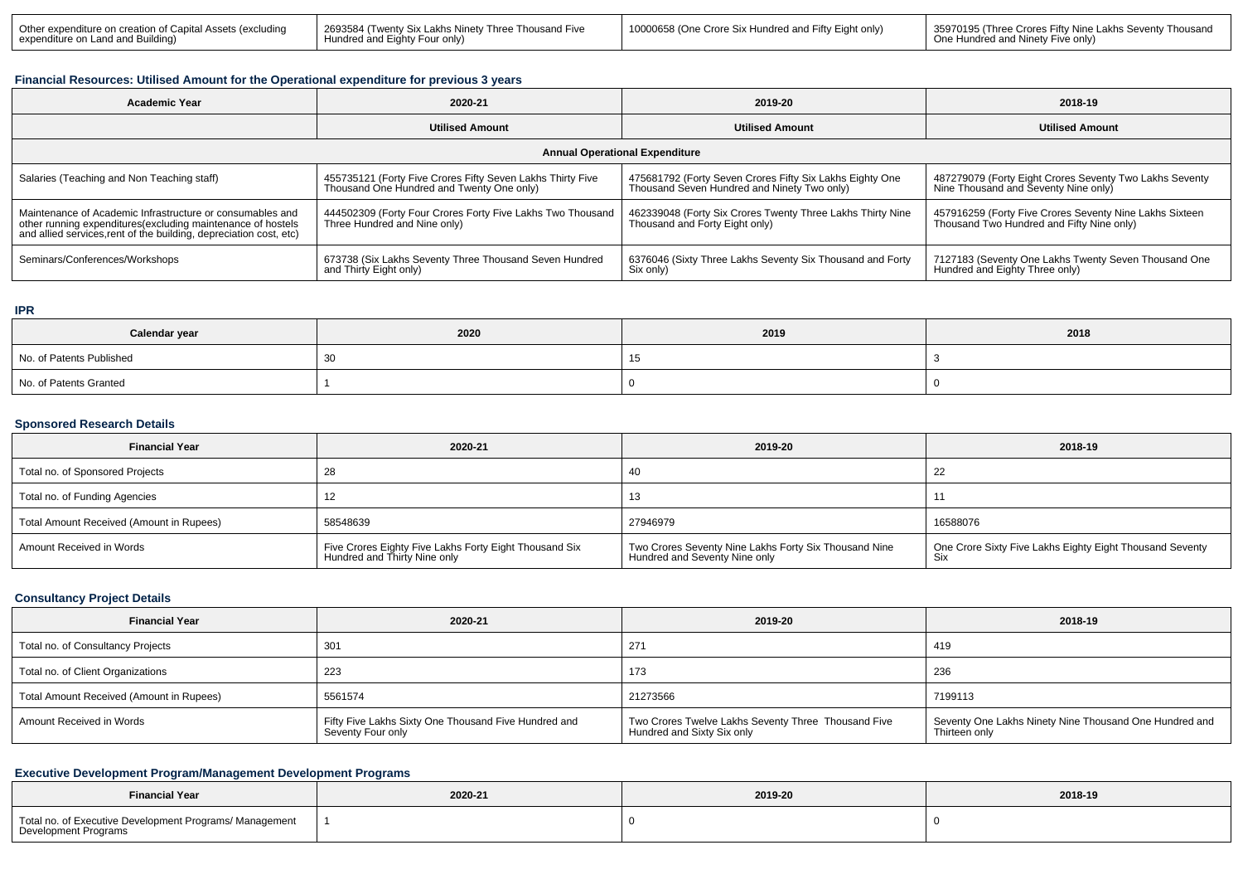| 2693584 (Twenty Six Lakhs Ninety Three<br>l Other expenditure on creation of Ca<br>…anital Assetc∶ .<br><i>(excluding</i> )<br>↑ and Eighty Four only<br>expenditure | / Eight only<br>10000F<br>Thousand Five<br>Crore :<br>e Six Hundred and Fifty F | 35970195 (Three Crores Fifty Nine Lakhs<br>s Seventv Thousand<br>d Ninety Five only' |
|----------------------------------------------------------------------------------------------------------------------------------------------------------------------|---------------------------------------------------------------------------------|--------------------------------------------------------------------------------------|
|----------------------------------------------------------------------------------------------------------------------------------------------------------------------|---------------------------------------------------------------------------------|--------------------------------------------------------------------------------------|

### **Financial Resources: Utilised Amount for the Operational expenditure for previous 3 years**

| <b>Academic Year</b>                                                                                                                                                                            | 2020-21                                                                                                 | 2019-20                                                                                                 | 2018-19                                                                                              |  |  |  |
|-------------------------------------------------------------------------------------------------------------------------------------------------------------------------------------------------|---------------------------------------------------------------------------------------------------------|---------------------------------------------------------------------------------------------------------|------------------------------------------------------------------------------------------------------|--|--|--|
|                                                                                                                                                                                                 | <b>Utilised Amount</b>                                                                                  | <b>Utilised Amount</b>                                                                                  | <b>Utilised Amount</b>                                                                               |  |  |  |
| <b>Annual Operational Expenditure</b>                                                                                                                                                           |                                                                                                         |                                                                                                         |                                                                                                      |  |  |  |
| Salaries (Teaching and Non Teaching staff)                                                                                                                                                      | 455735121 (Forty Five Crores Fifty Seven Lakhs Thirty Five<br>Thousand One Hundred and Twenty One only) | 475681792 (Forty Seven Crores Fifty Six Lakhs Eighty One<br>Thousand Seven Hundred and Ninety Two only) | 487279079 (Forty Eight Crores Seventy Two Lakhs Seventy<br>Nine Thousand and Seventy Nine only)      |  |  |  |
| Maintenance of Academic Infrastructure or consumables and<br>other running expenditures (excluding maintenance of hostels<br>and allied services, rent of the building, depreciation cost, etc) | 444502309 (Forty Four Crores Forty Five Lakhs Two Thousand<br>Three Hundred and Nine only)              | 462339048 (Forty Six Crores Twenty Three Lakhs Thirty Nine<br>Thousand and Forty Eight only)            | 457916259 (Forty Five Crores Seventy Nine Lakhs Sixteen<br>Thousand Two Hundred and Fifty Nine only) |  |  |  |
| Seminars/Conferences/Workshops                                                                                                                                                                  | 673738 (Six Lakhs Seventy Three Thousand Seven Hundred<br>and Thirty Eight only)                        | 6376046 (Sixty Three Lakhs Seventy Six Thousand and Forty<br>Six only)                                  | 7127183 (Seventy One Lakhs Twenty Seven Thousand One<br>Hundred and Eighty Three only)               |  |  |  |

### **IPR**

| Calendar year            | 2020 | 2019 | 2018 |
|--------------------------|------|------|------|
| No. of Patents Published | ັບປ  | 1 V  |      |
| No. of Patents Granted   |      |      |      |

### **Sponsored Research Details**

| <b>Financial Year</b>                    | 2020-21                                                                                | 2019-20                                                                                | 2018-19                                                  |
|------------------------------------------|----------------------------------------------------------------------------------------|----------------------------------------------------------------------------------------|----------------------------------------------------------|
| Total no. of Sponsored Projects          |                                                                                        | 40                                                                                     | 22                                                       |
| Total no. of Funding Agencies            |                                                                                        | 13                                                                                     |                                                          |
| Total Amount Received (Amount in Rupees) | 58548639                                                                               | 27946979                                                                               | 16588076                                                 |
| Amount Received in Words                 | Five Crores Eighty Five Lakhs Forty Eight Thousand Six<br>Hundred and Thirty Nine only | Two Crores Seventy Nine Lakhs Forty Six Thousand Nine<br>Hundred and Seventy Nine only | One Crore Sixty Five Lakhs Eighty Eight Thousand Seventy |

### **Consultancy Project Details**

| <b>Financial Year</b>                    | 2020-21                                                                   |                                                                                   | 2018-19                                                                 |
|------------------------------------------|---------------------------------------------------------------------------|-----------------------------------------------------------------------------------|-------------------------------------------------------------------------|
| Total no. of Consultancy Projects        | 301                                                                       | 271                                                                               | 419                                                                     |
| Total no. of Client Organizations        | 223                                                                       | 173                                                                               | 236                                                                     |
| Total Amount Received (Amount in Rupees) | 5561574                                                                   | 21273566                                                                          | 7199113                                                                 |
| Amount Received in Words                 | Fifty Five Lakhs Sixty One Thousand Five Hundred and<br>Seventy Four only | Two Crores Twelve Lakhs Seventy Three Thousand Five<br>Hundred and Sixty Six only | Seventy One Lakhs Ninety Nine Thousand One Hundred and<br>Thirteen only |

## **Executive Development Program/Management Development Programs**

| <b>Financial Year</b>                                                           | 2020-21 | 2019-20 | 2018-19 |  |
|---------------------------------------------------------------------------------|---------|---------|---------|--|
| Total no. of Executive Development Programs/ Management<br>Development Programs |         |         |         |  |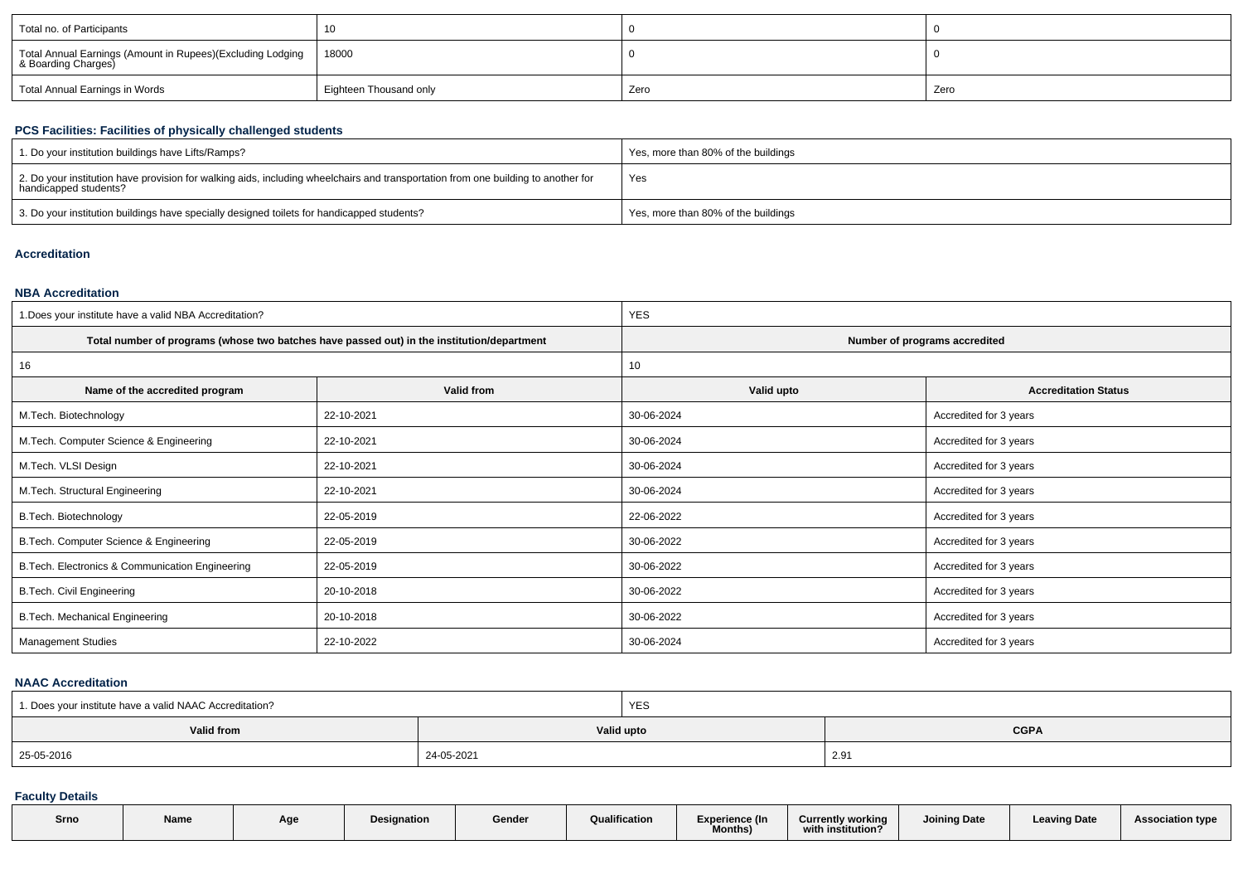| Total no. of Participants                                                         | 10                     |      |      |
|-----------------------------------------------------------------------------------|------------------------|------|------|
| Total Annual Earnings (Amount in Rupees)(Excluding Lodging<br>& Boarding Charges) | 18000                  |      |      |
| Total Annual Earnings in Words                                                    | Eighteen Thousand only | Zero | Zero |

## **PCS Facilities: Facilities of physically challenged students**

| 1. Do your institution buildings have Lifts/Ramps?                                                                                                         | Yes, more than 80% of the buildings |
|------------------------------------------------------------------------------------------------------------------------------------------------------------|-------------------------------------|
| 2. Do your institution have provision for walking aids, including wheelchairs and transportation from one building to another for<br>handicapped students? | Yes                                 |
| 3. Do your institution buildings have specially designed toilets for handicapped students?                                                                 | Yes, more than 80% of the buildings |

#### **Accreditation**

## **NBA Accreditation**

| 1. Does your institute have a valid NBA Accreditation? |                                                                                            | <b>YES</b>                    |                             |  |  |
|--------------------------------------------------------|--------------------------------------------------------------------------------------------|-------------------------------|-----------------------------|--|--|
|                                                        | Total number of programs (whose two batches have passed out) in the institution/department | Number of programs accredited |                             |  |  |
| 16                                                     |                                                                                            | 10                            |                             |  |  |
| Name of the accredited program                         | Valid from                                                                                 | Valid upto                    | <b>Accreditation Status</b> |  |  |
| M.Tech. Biotechnology                                  | 22-10-2021                                                                                 | 30-06-2024                    | Accredited for 3 years      |  |  |
| M.Tech. Computer Science & Engineering                 | 22-10-2021                                                                                 | 30-06-2024                    | Accredited for 3 years      |  |  |
| M.Tech. VLSI Design                                    | 22-10-2021                                                                                 |                               | Accredited for 3 years      |  |  |
| M. Tech. Structural Engineering                        | 22-10-2021                                                                                 | 30-06-2024                    | Accredited for 3 years      |  |  |
| B.Tech. Biotechnology                                  | 22-05-2019                                                                                 | 22-06-2022                    | Accredited for 3 years      |  |  |
| B.Tech. Computer Science & Engineering                 | 22-05-2019                                                                                 | 30-06-2022                    | Accredited for 3 years      |  |  |
| B. Tech. Electronics & Communication Engineering       | 22-05-2019                                                                                 | 30-06-2022                    | Accredited for 3 years      |  |  |
| <b>B.Tech. Civil Engineering</b>                       | 20-10-2018                                                                                 |                               | Accredited for 3 years      |  |  |
| B.Tech. Mechanical Engineering<br>20-10-2018           |                                                                                            | 30-06-2022                    | Accredited for 3 years      |  |  |
| <b>Management Studies</b>                              | 22-10-2022                                                                                 | 30-06-2024                    | Accredited for 3 years      |  |  |

#### **NAAC Accreditation**

| 1. Does your institute have a valid NAAC Accreditation? |            | YES        |             |
|---------------------------------------------------------|------------|------------|-------------|
| Valid from                                              |            | Valid upto | <b>CGPA</b> |
| 25-05-2016                                              | 24-05-2021 |            | 2.91        |

### **Faculty Details**

| Srno | Name | Age | Designation | Gender | Qualification | Experience (In<br>Months) | <b>Currently working</b><br>$\cdots$<br>with institution? | Joining Date | <b>Leaving Date</b> | <b>Association type</b> |
|------|------|-----|-------------|--------|---------------|---------------------------|-----------------------------------------------------------|--------------|---------------------|-------------------------|
|      |      |     |             |        |               |                           |                                                           |              |                     |                         |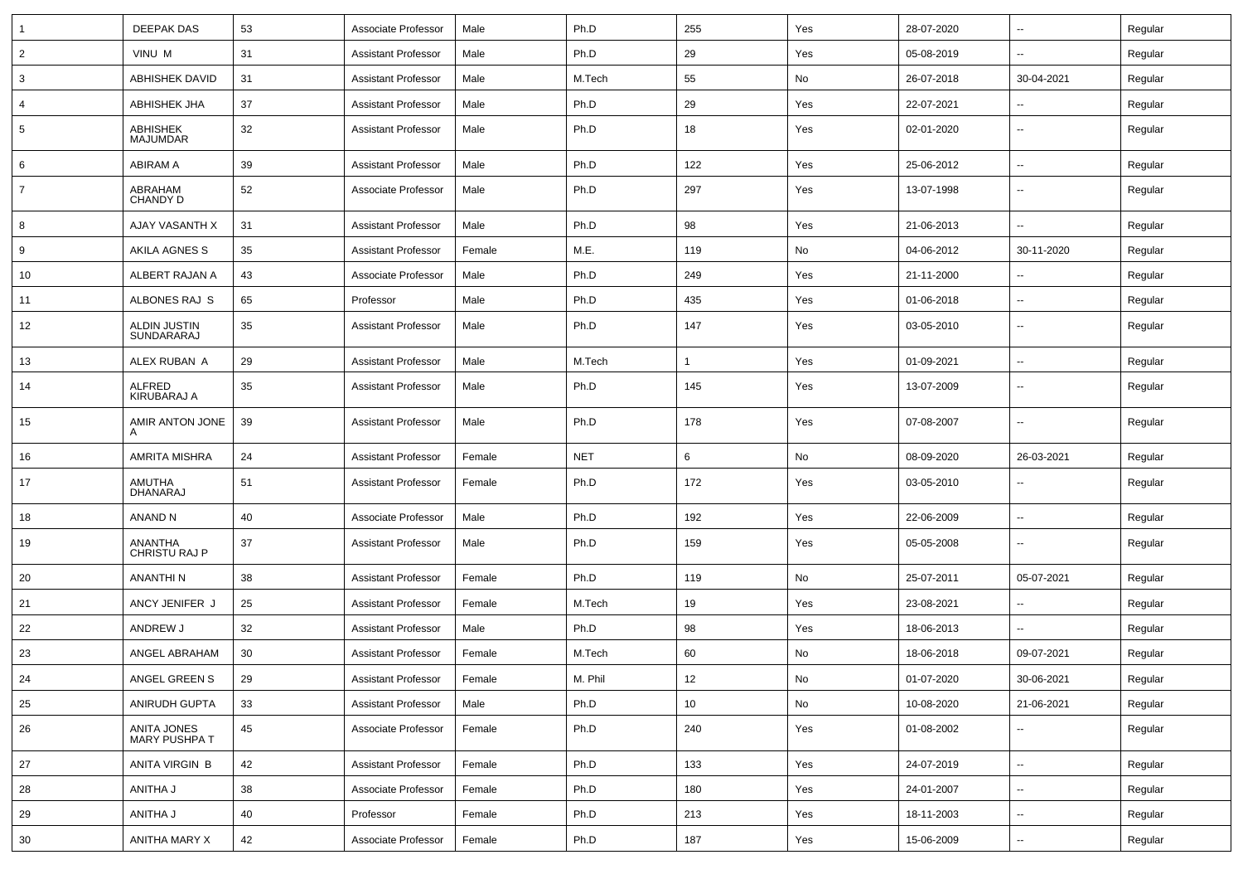| 1              | <b>DEEPAK DAS</b>                   | 53 | Associate Professor        | Male   | Ph.D       | 255 | Yes | 28-07-2020 | $\sim$                   | Regular |
|----------------|-------------------------------------|----|----------------------------|--------|------------|-----|-----|------------|--------------------------|---------|
| $\overline{2}$ | VINU M                              | 31 | <b>Assistant Professor</b> | Male   | Ph.D       | 29  | Yes | 05-08-2019 | Ξ.                       | Regular |
| 3              | <b>ABHISHEK DAVID</b>               | 31 | <b>Assistant Professor</b> | Male   | M.Tech     | 55  | No  | 26-07-2018 | 30-04-2021               | Regular |
| 4              | <b>ABHISHEK JHA</b>                 | 37 | <b>Assistant Professor</b> | Male   | Ph.D       | 29  | Yes | 22-07-2021 |                          | Regular |
| 5              | ABHISHEK<br><b>MAJUMDAR</b>         | 32 | <b>Assistant Professor</b> | Male   | Ph.D       | 18  | Yes | 02-01-2020 | Ξ.                       | Regular |
| 6              | <b>ABIRAM A</b>                     | 39 | <b>Assistant Professor</b> | Male   | Ph.D       | 122 | Yes | 25-06-2012 | ш.                       | Regular |
| $\overline{7}$ | ABRAHAM<br><b>CHANDY D</b>          | 52 | Associate Professor        | Male   | Ph.D       | 297 | Yes | 13-07-1998 | $\sim$                   | Regular |
| 8              | AJAY VASANTH X                      | 31 | <b>Assistant Professor</b> | Male   | Ph.D       | 98  | Yes | 21-06-2013 | $\overline{a}$           | Regular |
| 9              | AKILA AGNES S                       | 35 | <b>Assistant Professor</b> | Female | M.E.       | 119 | No  | 04-06-2012 | 30-11-2020               | Regular |
| 10             | ALBERT RAJAN A                      | 43 | Associate Professor        | Male   | Ph.D       | 249 | Yes | 21-11-2000 | ۰.                       | Regular |
| 11             | ALBONES RAJ S                       | 65 | Professor                  | Male   | Ph.D       | 435 | Yes | 01-06-2018 | $\sim$                   | Regular |
| 12             | ALDIN JUSTIN<br>SUNDARARAJ          | 35 | <b>Assistant Professor</b> | Male   | Ph.D       | 147 | Yes | 03-05-2010 | ۰.                       | Regular |
| 13             | ALEX RUBAN A                        | 29 | <b>Assistant Professor</b> | Male   | M.Tech     | -1  | Yes | 01-09-2021 | $\overline{a}$           | Regular |
| 14             | <b>ALFRED</b><br><b>KIRUBARAJ A</b> | 35 | <b>Assistant Professor</b> | Male   | Ph.D       | 145 | Yes | 13-07-2009 | ۰.                       | Regular |
| 15             | AMIR ANTON JONE<br>A                | 39 | <b>Assistant Professor</b> | Male   | Ph.D       | 178 | Yes | 07-08-2007 | $\overline{\phantom{a}}$ | Regular |
| 16             | <b>AMRITA MISHRA</b>                | 24 | <b>Assistant Professor</b> | Female | <b>NET</b> | 6   | No  | 08-09-2020 | 26-03-2021               | Regular |
| 17             | AMUTHA<br><b>DHANARAJ</b>           | 51 | <b>Assistant Professor</b> | Female | Ph.D       | 172 | Yes | 03-05-2010 | $\sim$                   | Regular |
| 18             | ANAND N                             | 40 | Associate Professor        | Male   | Ph.D       | 192 | Yes | 22-06-2009 | $\sim$                   | Regular |
| 19             | ANANTHA<br><b>CHRISTU RAJ P</b>     | 37 | <b>Assistant Professor</b> | Male   | Ph.D       | 159 | Yes | 05-05-2008 | $\sim$                   | Regular |
| 20             | <b>ANANTHIN</b>                     | 38 | <b>Assistant Professor</b> | Female | Ph.D       | 119 | No  | 25-07-2011 | 05-07-2021               | Regular |
| 21             | ANCY JENIFER J                      | 25 | <b>Assistant Professor</b> | Female | M.Tech     | 19  | Yes | 23-08-2021 | $\sim$                   | Regular |
| 22             | ANDREW J                            | 32 | <b>Assistant Professor</b> | Male   | Ph.D       | 98  | Yes | 18-06-2013 | $\sim$                   | Regular |
| 23             | ANGEL ABRAHAM                       | 30 | <b>Assistant Professor</b> | Female | M.Tech     | 60  | No  | 18-06-2018 | 09-07-2021               | Regular |
| 24             | ANGEL GREEN S                       | 29 | Assistant Professor        | Female | M. Phil    | 12  | No  | 01-07-2020 | 30-06-2021               | Regular |
| 25             | ANIRUDH GUPTA                       | 33 | <b>Assistant Professor</b> | Male   | Ph.D       | 10  | No  | 10-08-2020 | 21-06-2021               | Regular |
| 26             | ANITA JONES<br>MARY PUSHPA T        | 45 | Associate Professor        | Female | Ph.D       | 240 | Yes | 01-08-2002 | $\sim$                   | Regular |
| 27             | ANITA VIRGIN B                      | 42 | <b>Assistant Professor</b> | Female | Ph.D       | 133 | Yes | 24-07-2019 | ц.                       | Regular |
| 28             | ANITHA J                            | 38 | Associate Professor        | Female | Ph.D       | 180 | Yes | 24-01-2007 | $\overline{\phantom{a}}$ | Regular |
| 29             | ANITHA J                            | 40 | Professor                  | Female | Ph.D       | 213 | Yes | 18-11-2003 | ц.                       | Regular |
| 30             | ANITHA MARY X                       | 42 | Associate Professor        | Female | Ph.D       | 187 | Yes | 15-06-2009 | н.                       | Regular |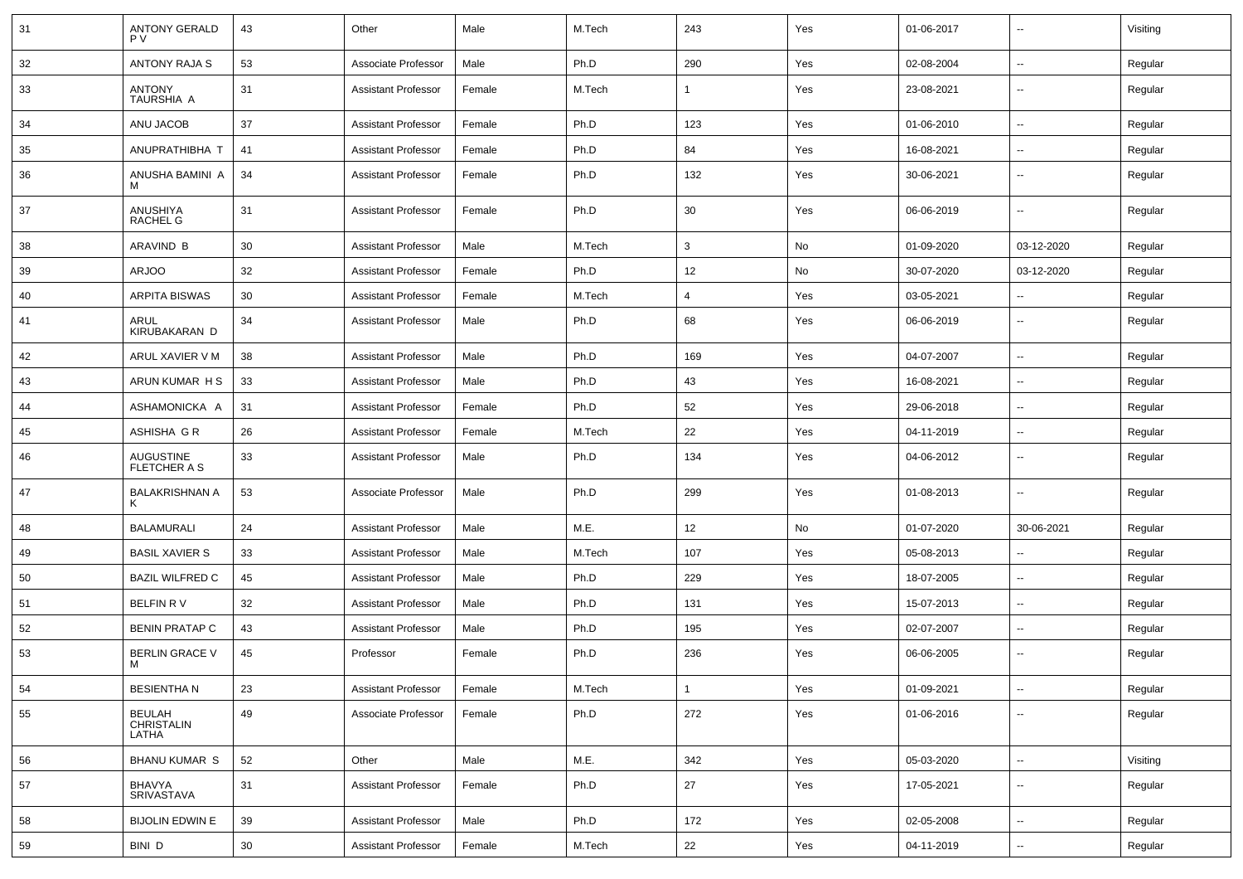| 31 | <b>ANTONY GERALD</b><br><b>PV</b> | 43 | Other                      | Male   | M.Tech | 243            | Yes | 01-06-2017 | $\sim$                   | Visiting |
|----|-----------------------------------|----|----------------------------|--------|--------|----------------|-----|------------|--------------------------|----------|
| 32 | ANTONY RAJA S                     | 53 | Associate Professor        | Male   | Ph.D   | 290            | Yes | 02-08-2004 | $\sim$                   | Regular  |
| 33 | ANTONY<br>TAURSHIA A              | 31 | <b>Assistant Professor</b> | Female | M.Tech | $\mathbf{1}$   | Yes | 23-08-2021 | $\overline{\phantom{a}}$ | Regular  |
| 34 | ANU JACOB                         | 37 | <b>Assistant Professor</b> | Female | Ph.D   | 123            | Yes | 01-06-2010 | $\overline{\phantom{a}}$ | Regular  |
| 35 | ANUPRATHIBHA T                    | 41 | <b>Assistant Professor</b> | Female | Ph.D   | 84             | Yes | 16-08-2021 | $\overline{\phantom{a}}$ | Regular  |
| 36 | ANUSHA BAMINI A<br>м              | 34 | <b>Assistant Professor</b> | Female | Ph.D   | 132            | Yes | 30-06-2021 | $\sim$                   | Regular  |
| 37 | ANUSHIYA<br><b>RACHEL G</b>       | 31 | <b>Assistant Professor</b> | Female | Ph.D   | 30             | Yes | 06-06-2019 | $\overline{\phantom{a}}$ | Regular  |
| 38 | ARAVIND B                         | 30 | <b>Assistant Professor</b> | Male   | M.Tech | 3              | No  | 01-09-2020 | 03-12-2020               | Regular  |
| 39 | <b>ARJOO</b>                      | 32 | <b>Assistant Professor</b> | Female | Ph.D   | 12             | No  | 30-07-2020 | 03-12-2020               | Regular  |
| 40 | <b>ARPITA BISWAS</b>              | 30 | <b>Assistant Professor</b> | Female | M.Tech | $\overline{4}$ | Yes | 03-05-2021 | $\overline{\phantom{a}}$ | Regular  |
| 41 | ARUL<br>KIRUBAKARAN D             | 34 | <b>Assistant Professor</b> | Male   | Ph.D   | 68             | Yes | 06-06-2019 | $\sim$                   | Regular  |
| 42 | ARUL XAVIER V M                   | 38 | <b>Assistant Professor</b> | Male   | Ph.D   | 169            | Yes | 04-07-2007 | $\sim$                   | Regular  |
| 43 | ARUN KUMAR H S                    | 33 | <b>Assistant Professor</b> | Male   | Ph.D   | 43             | Yes | 16-08-2021 | $\overline{\phantom{a}}$ | Regular  |
| 44 | ASHAMONICKA A                     | 31 | <b>Assistant Professor</b> | Female | Ph.D   | 52             | Yes | 29-06-2018 | $\overline{\phantom{a}}$ | Regular  |
| 45 | ASHISHA G R                       | 26 | Assistant Professor        | Female | M.Tech | 22             | Yes | 04-11-2019 | $\sim$                   | Regular  |
| 46 | AUGUSTINE<br>FLETCHER A S         | 33 | <b>Assistant Professor</b> | Male   | Ph.D   | 134            | Yes | 04-06-2012 | $\overline{\phantom{a}}$ | Regular  |
| 47 | <b>BALAKRISHNAN A</b><br>Κ        | 53 | Associate Professor        | Male   | Ph.D   | 299            | Yes | 01-08-2013 | $\overline{\phantom{a}}$ | Regular  |
| 48 | <b>BALAMURALI</b>                 | 24 | <b>Assistant Professor</b> | Male   | M.E.   | 12             | No  | 01-07-2020 | 30-06-2021               | Regular  |
| 49 | <b>BASIL XAVIER S</b>             | 33 | <b>Assistant Professor</b> | Male   | M.Tech | 107            | Yes | 05-08-2013 | $\sim$                   | Regular  |
| 50 | <b>BAZIL WILFRED C</b>            | 45 | <b>Assistant Professor</b> | Male   | Ph.D   | 229            | Yes | 18-07-2005 | $\sim$                   | Regular  |
| 51 | BELFIN RV                         | 32 | <b>Assistant Professor</b> | Male   | Ph.D   | 131            | Yes | 15-07-2013 | $\overline{\phantom{a}}$ | Regular  |
| 52 | <b>BENIN PRATAP C</b>             | 43 | <b>Assistant Professor</b> | Male   | Ph.D   | 195            | Yes | 02-07-2007 | $\overline{\phantom{a}}$ | Regular  |
| 53 | BERLIN GRACE V<br>м               | 45 | Professor                  | Female | Ph.D   | 236            | Yes | 06-06-2005 | $\overline{\phantom{a}}$ | Regular  |
| 54 | <b>BESIENTHAN</b>                 | 23 | <b>Assistant Professor</b> | Female | M.Tech | $\overline{1}$ | Yes | 01-09-2021 | $\sim$                   | Regular  |
| 55 | BEULAH<br>CHRISTALIN<br>LATHA     | 49 | Associate Professor        | Female | Ph.D   | 272            | Yes | 01-06-2016 | Ξ.                       | Regular  |
| 56 | <b>BHANU KUMAR S</b>              | 52 | Other                      | Male   | M.E.   | 342            | Yes | 05-03-2020 | $\sim$                   | Visiting |
| 57 | BHAVYA<br>SRIVASTAVA              | 31 | <b>Assistant Professor</b> | Female | Ph.D   | 27             | Yes | 17-05-2021 | Ξ.                       | Regular  |
| 58 | <b>BIJOLIN EDWIN E</b>            | 39 | <b>Assistant Professor</b> | Male   | Ph.D   | 172            | Yes | 02-05-2008 | $\sim$                   | Regular  |
| 59 | BINI D                            | 30 | <b>Assistant Professor</b> | Female | M.Tech | 22             | Yes | 04-11-2019 | $\sim$                   | Regular  |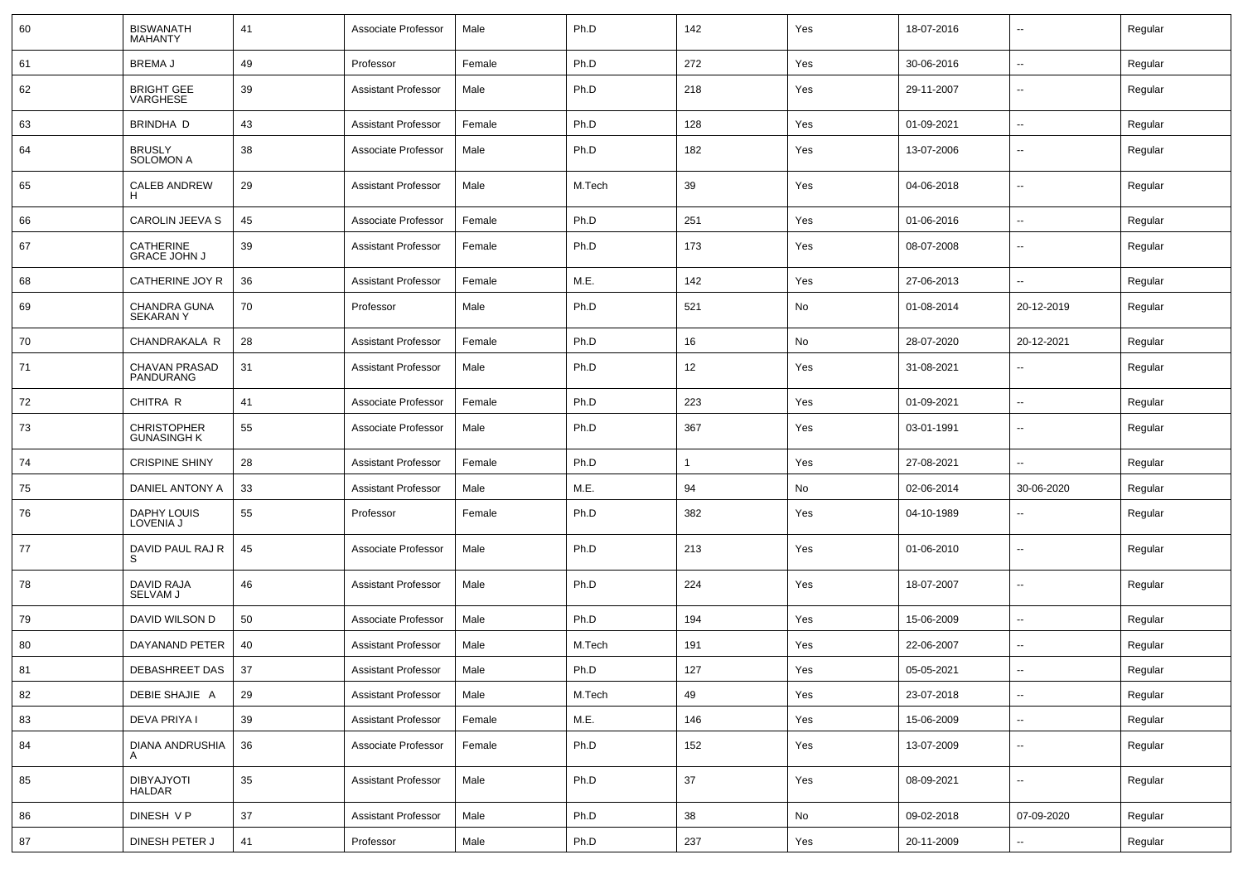| 60 | <b>BISWANATH</b><br><b>MAHANTY</b>       | 41 | Associate Professor        | Male   | Ph.D   | 142 | Yes | 18-07-2016 | $\sim$                   | Regular |
|----|------------------------------------------|----|----------------------------|--------|--------|-----|-----|------------|--------------------------|---------|
| 61 | <b>BREMAJ</b>                            | 49 | Professor                  | Female | Ph.D   | 272 | Yes | 30-06-2016 | $\sim$                   | Regular |
| 62 | <b>BRIGHT GEE</b><br>VARGHESE            | 39 | <b>Assistant Professor</b> | Male   | Ph.D   | 218 | Yes | 29-11-2007 | --                       | Regular |
| 63 | BRINDHA D                                | 43 | <b>Assistant Professor</b> | Female | Ph.D   | 128 | Yes | 01-09-2021 | $\overline{\phantom{a}}$ | Regular |
| 64 | <b>BRUSLY</b><br><b>SOLOMON A</b>        | 38 | Associate Professor        | Male   | Ph.D   | 182 | Yes | 13-07-2006 | $\overline{\phantom{a}}$ | Regular |
| 65 | <b>CALEB ANDREW</b><br>Н                 | 29 | <b>Assistant Professor</b> | Male   | M.Tech | 39  | Yes | 04-06-2018 | $\overline{\phantom{a}}$ | Regular |
| 66 | CAROLIN JEEVA S                          | 45 | Associate Professor        | Female | Ph.D   | 251 | Yes | 01-06-2016 | $\sim$                   | Regular |
| 67 | CATHERINE<br><b>GRACE JOHN J</b>         | 39 | <b>Assistant Professor</b> | Female | Ph.D   | 173 | Yes | 08-07-2008 | $\overline{\phantom{a}}$ | Regular |
| 68 | CATHERINE JOY R                          | 36 | <b>Assistant Professor</b> | Female | M.E.   | 142 | Yes | 27-06-2013 | $\overline{\phantom{a}}$ | Regular |
| 69 | CHANDRA GUNA<br><b>SEKARANY</b>          | 70 | Professor                  | Male   | Ph.D   | 521 | No  | 01-08-2014 | 20-12-2019               | Regular |
| 70 | CHANDRAKALA R                            | 28 | <b>Assistant Professor</b> | Female | Ph.D   | 16  | No  | 28-07-2020 | 20-12-2021               | Regular |
| 71 | <b>CHAVAN PRASAD</b><br>PANDURANG        | 31 | <b>Assistant Professor</b> | Male   | Ph.D   | 12  | Yes | 31-08-2021 | ۵.                       | Regular |
| 72 | CHITRA R                                 | 41 | Associate Professor        | Female | Ph.D   | 223 | Yes | 01-09-2021 | $\sim$                   | Regular |
| 73 | <b>CHRISTOPHER</b><br><b>GUNASINGH K</b> | 55 | Associate Professor        | Male   | Ph.D   | 367 | Yes | 03-01-1991 | $\overline{\phantom{a}}$ | Regular |
| 74 | <b>CRISPINE SHINY</b>                    | 28 | <b>Assistant Professor</b> | Female | Ph.D   |     | Yes | 27-08-2021 | $\sim$                   | Regular |
| 75 | DANIEL ANTONY A                          | 33 | <b>Assistant Professor</b> | Male   | M.E.   | 94  | No  | 02-06-2014 | 30-06-2020               | Regular |
| 76 | DAPHY LOUIS<br>LOVENIA J                 | 55 | Professor                  | Female | Ph.D   | 382 | Yes | 04-10-1989 | $\overline{\phantom{a}}$ | Regular |
| 77 | DAVID PAUL RAJ R<br>S                    | 45 | Associate Professor        | Male   | Ph.D   | 213 | Yes | 01-06-2010 | $\sim$                   | Regular |
| 78 | DAVID RAJA<br>SELVAM J                   | 46 | <b>Assistant Professor</b> | Male   | Ph.D   | 224 | Yes | 18-07-2007 | $\overline{\phantom{a}}$ | Regular |
| 79 | DAVID WILSON D                           | 50 | Associate Professor        | Male   | Ph.D   | 194 | Yes | 15-06-2009 | $\sim$                   | Regular |
| 80 | DAYANAND PETER                           | 40 | <b>Assistant Professor</b> | Male   | M.Tech | 191 | Yes | 22-06-2007 | --                       | Regular |
| 81 | DEBASHREET DAS                           | 37 | <b>Assistant Professor</b> | Male   | Ph.D   | 127 | Yes | 05-05-2021 | --                       | Regular |
| 82 | DEBIE SHAJIE A                           | 29 | <b>Assistant Professor</b> | Male   | M.Tech | 49  | Yes | 23-07-2018 | $\sim$                   | Regular |
| 83 | DEVA PRIYA I                             | 39 | <b>Assistant Professor</b> | Female | M.E.   | 146 | Yes | 15-06-2009 | $\sim$                   | Regular |
| 84 | DIANA ANDRUSHIA<br>A                     | 36 | Associate Professor        | Female | Ph.D   | 152 | Yes | 13-07-2009 | $\sim$                   | Regular |
| 85 | DIBYAJYOTI<br>HALDAR                     | 35 | <b>Assistant Professor</b> | Male   | Ph.D   | 37  | Yes | 08-09-2021 | $\sim$                   | Regular |
| 86 | DINESH V P                               | 37 | <b>Assistant Professor</b> | Male   | Ph.D   | 38  | No  | 09-02-2018 | 07-09-2020               | Regular |
| 87 | DINESH PETER J                           | 41 | Professor                  | Male   | Ph.D   | 237 | Yes | 20-11-2009 | $\sim$                   | Regular |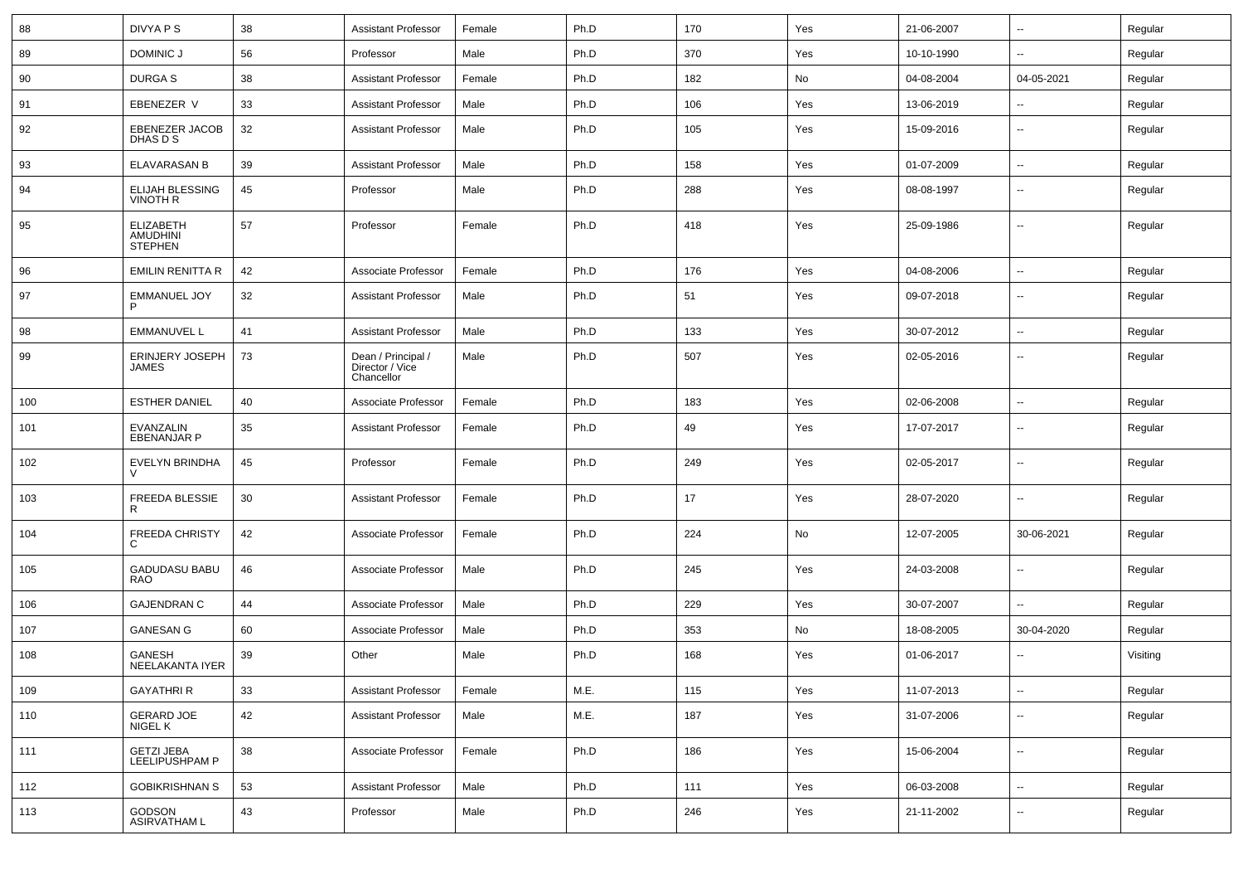| 88  | DIVYA P S                                             | 38 | <b>Assistant Professor</b>                          | Female | Ph.D | 170 | Yes | 21-06-2007 | $\sim$                   | Regular  |
|-----|-------------------------------------------------------|----|-----------------------------------------------------|--------|------|-----|-----|------------|--------------------------|----------|
| 89  | DOMINIC J                                             | 56 | Professor                                           | Male   | Ph.D | 370 | Yes | 10-10-1990 | --                       | Regular  |
| 90  | <b>DURGAS</b>                                         | 38 | <b>Assistant Professor</b>                          | Female | Ph.D | 182 | No  | 04-08-2004 | 04-05-2021               | Regular  |
| 91  | EBENEZER V                                            | 33 | <b>Assistant Professor</b>                          | Male   | Ph.D | 106 | Yes | 13-06-2019 | $\sim$                   | Regular  |
| 92  | <b>EBENEZER JACOB</b><br>DHAS D S                     | 32 | <b>Assistant Professor</b>                          | Male   | Ph.D | 105 | Yes | 15-09-2016 | $\overline{\phantom{a}}$ | Regular  |
| 93  | <b>ELAVARASAN B</b>                                   | 39 | <b>Assistant Professor</b>                          | Male   | Ph.D | 158 | Yes | 01-07-2009 | $\overline{\phantom{a}}$ | Regular  |
| 94  | <b>ELIJAH BLESSING</b><br><b>VINOTH R</b>             | 45 | Professor                                           | Male   | Ph.D | 288 | Yes | 08-08-1997 | $\sim$                   | Regular  |
| 95  | <b>ELIZABETH</b><br><b>AMUDHINI</b><br><b>STEPHEN</b> | 57 | Professor                                           | Female | Ph.D | 418 | Yes | 25-09-1986 | $\sim$                   | Regular  |
| 96  | <b>EMILIN RENITTA R</b>                               | 42 | Associate Professor                                 | Female | Ph.D | 176 | Yes | 04-08-2006 | $\overline{\phantom{a}}$ | Regular  |
| 97  | <b>EMMANUEL JOY</b>                                   | 32 | <b>Assistant Professor</b>                          | Male   | Ph.D | 51  | Yes | 09-07-2018 | $\sim$                   | Regular  |
| 98  | <b>EMMANUVEL L</b>                                    | 41 | <b>Assistant Professor</b>                          | Male   | Ph.D | 133 | Yes | 30-07-2012 | $\sim$                   | Regular  |
| 99  | <b>ERINJERY JOSEPH</b><br>JAMES                       | 73 | Dean / Principal /<br>Director / Vice<br>Chancellor | Male   | Ph.D | 507 | Yes | 02-05-2016 | $\overline{\phantom{a}}$ | Regular  |
| 100 | <b>ESTHER DANIEL</b>                                  | 40 | Associate Professor                                 | Female | Ph.D | 183 | Yes | 02-06-2008 | $\sim$                   | Regular  |
| 101 | EVANZALIN<br><b>EBENANJAR P</b>                       | 35 | <b>Assistant Professor</b>                          | Female | Ph.D | 49  | Yes | 17-07-2017 | $\sim$                   | Regular  |
| 102 | <b>EVELYN BRINDHA</b>                                 | 45 | Professor                                           | Female | Ph.D | 249 | Yes | 02-05-2017 | $\sim$                   | Regular  |
| 103 | <b>FREEDA BLESSIE</b><br>R.                           | 30 | <b>Assistant Professor</b>                          | Female | Ph.D | 17  | Yes | 28-07-2020 | $\sim$                   | Regular  |
| 104 | <b>FREEDA CHRISTY</b><br>C                            | 42 | Associate Professor                                 | Female | Ph.D | 224 | No  | 12-07-2005 | 30-06-2021               | Regular  |
| 105 | <b>GADUDASU BABU</b><br><b>RAO</b>                    | 46 | Associate Professor                                 | Male   | Ph.D | 245 | Yes | 24-03-2008 | $\sim$                   | Regular  |
| 106 | <b>GAJENDRAN C</b>                                    | 44 | Associate Professor                                 | Male   | Ph.D | 229 | Yes | 30-07-2007 | $\sim$                   | Regular  |
| 107 | <b>GANESAN G</b>                                      | 60 | Associate Professor                                 | Male   | Ph.D | 353 | No  | 18-08-2005 | 30-04-2020               | Regular  |
| 108 | GANESH<br>NEELAKANTA IYER                             | 39 | Other                                               | Male   | Ph.D | 168 | Yes | 01-06-2017 | $\overline{\phantom{a}}$ | Visiting |
| 109 | <b>GAYATHRI R</b>                                     | 33 | <b>Assistant Professor</b>                          | Female | M.E. | 115 | Yes | 11-07-2013 | $\sim$                   | Regular  |
| 110 | <b>GERARD JOE</b><br>NIGEL K                          | 42 | <b>Assistant Professor</b>                          | Male   | M.E. | 187 | Yes | 31-07-2006 | $\sim$                   | Regular  |
| 111 | <b>GETZI JEBA</b><br>LEELIPUSHPAM P                   | 38 | Associate Professor                                 | Female | Ph.D | 186 | Yes | 15-06-2004 | $\sim$                   | Regular  |
| 112 | <b>GOBIKRISHNAN S</b>                                 | 53 | <b>Assistant Professor</b>                          | Male   | Ph.D | 111 | Yes | 06-03-2008 | $\sim$                   | Regular  |
| 113 | GODSON<br>ASIRVATHAM L                                | 43 | Professor                                           | Male   | Ph.D | 246 | Yes | 21-11-2002 | $\overline{\phantom{a}}$ | Regular  |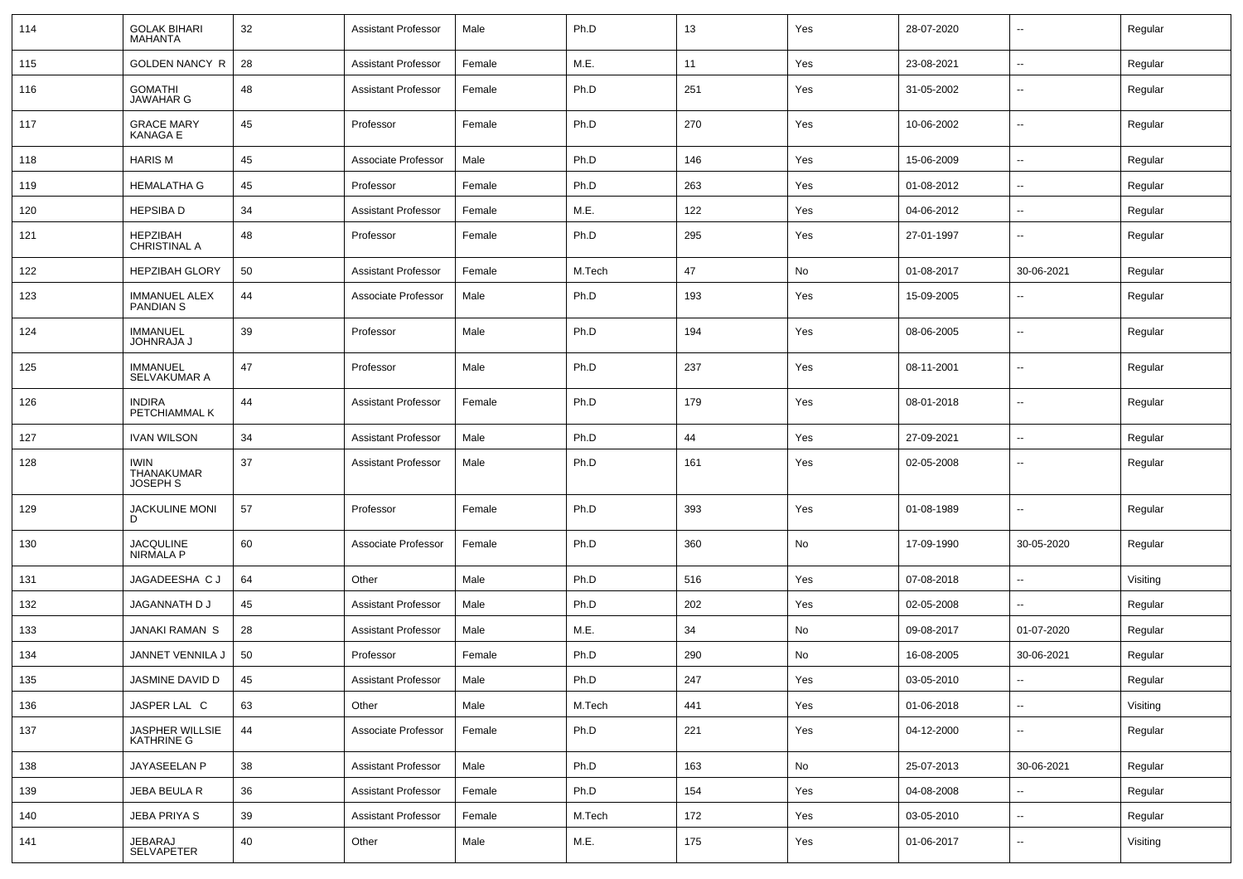| 114 | <b>GOLAK BIHARI</b><br><b>MAHANTA</b>    | 32 | <b>Assistant Professor</b> | Male   | Ph.D   | 13  | Yes | 28-07-2020 | $\overline{\phantom{a}}$ | Regular  |
|-----|------------------------------------------|----|----------------------------|--------|--------|-----|-----|------------|--------------------------|----------|
| 115 | <b>GOLDEN NANCY R</b>                    | 28 | <b>Assistant Professor</b> | Female | M.E.   | 11  | Yes | 23-08-2021 | $\overline{\phantom{a}}$ | Regular  |
| 116 | <b>GOMATHI</b><br><b>JAWAHAR G</b>       | 48 | <b>Assistant Professor</b> | Female | Ph.D   | 251 | Yes | 31-05-2002 | --                       | Regular  |
| 117 | <b>GRACE MARY</b><br><b>KANAGA E</b>     | 45 | Professor                  | Female | Ph.D   | 270 | Yes | 10-06-2002 | --                       | Regular  |
| 118 | <b>HARIS M</b>                           | 45 | Associate Professor        | Male   | Ph.D   | 146 | Yes | 15-06-2009 | $\overline{\phantom{a}}$ | Regular  |
| 119 | <b>HEMALATHA G</b>                       | 45 | Professor                  | Female | Ph.D   | 263 | Yes | 01-08-2012 | -−                       | Regular  |
| 120 | <b>HEPSIBAD</b>                          | 34 | <b>Assistant Professor</b> | Female | M.E.   | 122 | Yes | 04-06-2012 | --                       | Regular  |
| 121 | <b>HEPZIBAH</b><br>CHRISTINAL A          | 48 | Professor                  | Female | Ph.D   | 295 | Yes | 27-01-1997 |                          | Regular  |
| 122 | <b>HEPZIBAH GLORY</b>                    | 50 | <b>Assistant Professor</b> | Female | M.Tech | 47  | No  | 01-08-2017 | 30-06-2021               | Regular  |
| 123 | <b>IMMANUEL ALEX</b><br><b>PANDIAN S</b> | 44 | Associate Professor        | Male   | Ph.D   | 193 | Yes | 15-09-2005 | --                       | Regular  |
| 124 | <b>IMMANUEL</b><br><b>JOHNRAJA J</b>     | 39 | Professor                  | Male   | Ph.D   | 194 | Yes | 08-06-2005 | $\overline{\phantom{a}}$ | Regular  |
| 125 | <b>IMMANUEL</b><br>SELVAKUMAR A          | 47 | Professor                  | Male   | Ph.D   | 237 | Yes | 08-11-2001 | ⊷.                       | Regular  |
| 126 | <b>INDIRA</b><br>PETCHIAMMAL K           | 44 | <b>Assistant Professor</b> | Female | Ph.D   | 179 | Yes | 08-01-2018 | $\overline{\phantom{a}}$ | Regular  |
| 127 | <b>IVAN WILSON</b>                       | 34 | <b>Assistant Professor</b> | Male   | Ph.D   | 44  | Yes | 27-09-2021 | $\sim$                   | Regular  |
| 128 | <b>IWIN</b><br>THANAKUMAR<br>JOSEPH S    | 37 | <b>Assistant Professor</b> | Male   | Ph.D   | 161 | Yes | 02-05-2008 | --                       | Regular  |
| 129 | <b>JACKULINE MONI</b><br>D               | 57 | Professor                  | Female | Ph.D   | 393 | Yes | 01-08-1989 | $\overline{\phantom{a}}$ | Regular  |
| 130 | JACQULINE<br>NIRMALA P                   | 60 | Associate Professor        | Female | Ph.D   | 360 | No  | 17-09-1990 | 30-05-2020               | Regular  |
| 131 | JAGADEESHA C J                           | 64 | Other                      | Male   | Ph.D   | 516 | Yes | 07-08-2018 | $\overline{\phantom{a}}$ | Visiting |
| 132 | JAGANNATH D J                            | 45 | <b>Assistant Professor</b> | Male   | Ph.D   | 202 | Yes | 02-05-2008 | $\overline{\phantom{a}}$ | Regular  |
| 133 | <b>JANAKI RAMAN S</b>                    | 28 | <b>Assistant Professor</b> | Male   | M.E.   | 34  | No  | 09-08-2017 | 01-07-2020               | Regular  |
| 134 | JANNET VENNILA J                         | 50 | Professor                  | Female | Ph.D   | 290 | No  | 16-08-2005 | 30-06-2021               | Regular  |
| 135 | JASMINE DAVID D                          | 45 | <b>Assistant Professor</b> | Male   | Ph.D   | 247 | Yes | 03-05-2010 | $\overline{\phantom{a}}$ | Regular  |
| 136 | JASPER LAL C                             | 63 | Other                      | Male   | M.Tech | 441 | Yes | 01-06-2018 | н.                       | Visiting |
| 137 | JASPHER WILLSIE<br>KATHRINE G            | 44 | Associate Professor        | Female | Ph.D   | 221 | Yes | 04-12-2000 | н.                       | Regular  |
| 138 | JAYASEELAN P                             | 38 | <b>Assistant Professor</b> | Male   | Ph.D   | 163 | No  | 25-07-2013 | 30-06-2021               | Regular  |
| 139 | JEBA BEULA R                             | 36 | <b>Assistant Professor</b> | Female | Ph.D   | 154 | Yes | 04-08-2008 | н.                       | Regular  |
| 140 | JEBA PRIYA S                             | 39 | <b>Assistant Professor</b> | Female | M.Tech | 172 | Yes | 03-05-2010 | $\sim$                   | Regular  |
| 141 | JEBARAJ<br>SELVAPETER                    | 40 | Other                      | Male   | M.E.   | 175 | Yes | 01-06-2017 | $\sim$                   | Visiting |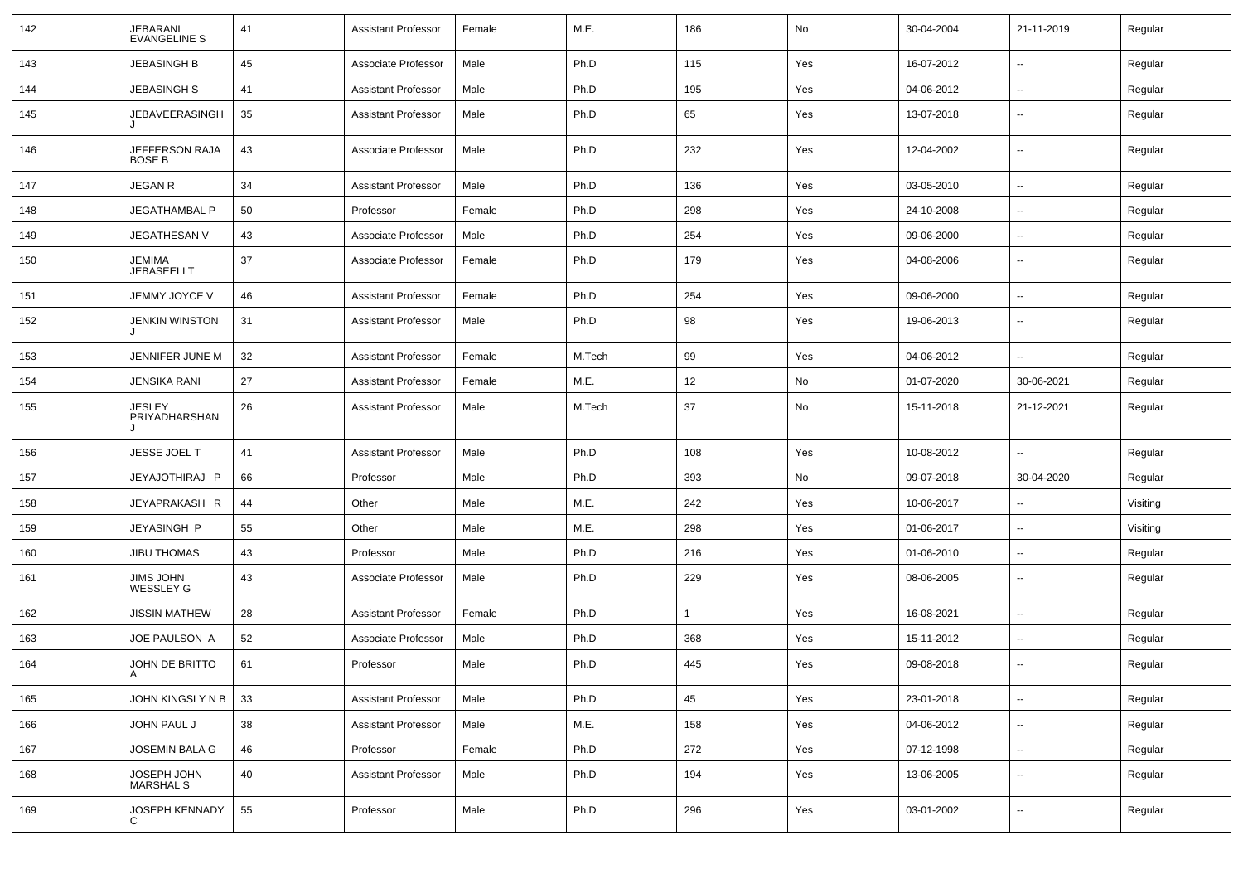| 142 | JEBARANI<br><b>EVANGELINE S</b>     | 41 | <b>Assistant Professor</b> | Female | M.E.   | 186          | No  | 30-04-2004 | 21-11-2019               | Regular  |
|-----|-------------------------------------|----|----------------------------|--------|--------|--------------|-----|------------|--------------------------|----------|
| 143 | <b>JEBASINGH B</b>                  | 45 | Associate Professor        | Male   | Ph.D   | 115          | Yes | 16-07-2012 | --                       | Regular  |
| 144 | <b>JEBASINGH S</b>                  | 41 | <b>Assistant Professor</b> | Male   | Ph.D   | 195          | Yes | 04-06-2012 | $\overline{\phantom{a}}$ | Regular  |
| 145 | <b>JEBAVEERASINGH</b><br>J          | 35 | <b>Assistant Professor</b> | Male   | Ph.D   | 65           | Yes | 13-07-2018 | --                       | Regular  |
| 146 | JEFFERSON RAJA<br>BOSE B            | 43 | Associate Professor        | Male   | Ph.D   | 232          | Yes | 12-04-2002 | --                       | Regular  |
| 147 | <b>JEGAN R</b>                      | 34 | <b>Assistant Professor</b> | Male   | Ph.D   | 136          | Yes | 03-05-2010 | $\overline{\phantom{a}}$ | Regular  |
| 148 | <b>JEGATHAMBAL P</b>                | 50 | Professor                  | Female | Ph.D   | 298          | Yes | 24-10-2008 | $\overline{\phantom{a}}$ | Regular  |
| 149 | JEGATHESAN V                        | 43 | Associate Professor        | Male   | Ph.D   | 254          | Yes | 09-06-2000 | $\overline{\phantom{a}}$ | Regular  |
| 150 | JEMIMA<br><b>JEBASEELIT</b>         | 37 | Associate Professor        | Female | Ph.D   | 179          | Yes | 04-08-2006 | --                       | Regular  |
| 151 | JEMMY JOYCE V                       | 46 | <b>Assistant Professor</b> | Female | Ph.D   | 254          | Yes | 09-06-2000 | --                       | Regular  |
| 152 | <b>JENKIN WINSTON</b>               | 31 | <b>Assistant Professor</b> | Male   | Ph.D   | 98           | Yes | 19-06-2013 | --                       | Regular  |
| 153 | JENNIFER JUNE M                     | 32 | <b>Assistant Professor</b> | Female | M.Tech | 99           | Yes | 04-06-2012 | u.                       | Regular  |
| 154 | <b>JENSIKA RANI</b>                 | 27 | <b>Assistant Professor</b> | Female | M.E.   | 12           | No  | 01-07-2020 | 30-06-2021               | Regular  |
| 155 | <b>JESLEY</b><br>PRIYADHARSHAN<br>J | 26 | <b>Assistant Professor</b> | Male   | M.Tech | 37           | No  | 15-11-2018 | 21-12-2021               | Regular  |
| 156 | JESSE JOEL T                        | 41 | <b>Assistant Professor</b> | Male   | Ph.D   | 108          | Yes | 10-08-2012 | $\overline{a}$           | Regular  |
| 157 | JEYAJOTHIRAJ P                      | 66 | Professor                  | Male   | Ph.D   | 393          | No  | 09-07-2018 | 30-04-2020               | Regular  |
| 158 | JEYAPRAKASH R                       | 44 | Other                      | Male   | M.E.   | 242          | Yes | 10-06-2017 | ۰.                       | Visiting |
| 159 | JEYASINGH P                         | 55 | Other                      | Male   | M.E.   | 298          | Yes | 01-06-2017 | $\overline{a}$           | Visiting |
| 160 | <b>JIBU THOMAS</b>                  | 43 | Professor                  | Male   | Ph.D   | 216          | Yes | 01-06-2010 | --                       | Regular  |
| 161 | JIMS JOHN<br><b>WESSLEY G</b>       | 43 | Associate Professor        | Male   | Ph.D   | 229          | Yes | 08-06-2005 | --                       | Regular  |
| 162 | <b>JISSIN MATHEW</b>                | 28 | <b>Assistant Professor</b> | Female | Ph.D   | $\mathbf{1}$ | Yes | 16-08-2021 | $\overline{a}$           | Regular  |
| 163 | JOE PAULSON A                       | 52 | Associate Professor        | Male   | Ph.D   | 368          | Yes | 15-11-2012 | $\overline{a}$           | Regular  |
| 164 | JOHN DE BRITTO<br>$\mathsf{A}$      | 61 | Professor                  | Male   | Ph.D   | 445          | Yes | 09-08-2018 | --                       | Regular  |
| 165 | JOHN KINGSLY N B                    | 33 | <b>Assistant Professor</b> | Male   | Ph.D   | 45           | Yes | 23-01-2018 | --                       | Regular  |
| 166 | JOHN PAUL J                         | 38 | <b>Assistant Professor</b> | Male   | M.E.   | 158          | Yes | 04-06-2012 | Ξ.                       | Regular  |
| 167 | <b>JOSEMIN BALA G</b>               | 46 | Professor                  | Female | Ph.D   | 272          | Yes | 07-12-1998 | Ξ.                       | Regular  |
| 168 | JOSEPH JOHN<br>MARSHAL S            | 40 | <b>Assistant Professor</b> | Male   | Ph.D   | 194          | Yes | 13-06-2005 | Ξ.                       | Regular  |
| 169 | JOSEPH KENNADY                      | 55 | Professor                  | Male   | Ph.D   | 296          | Yes | 03-01-2002 | --                       | Regular  |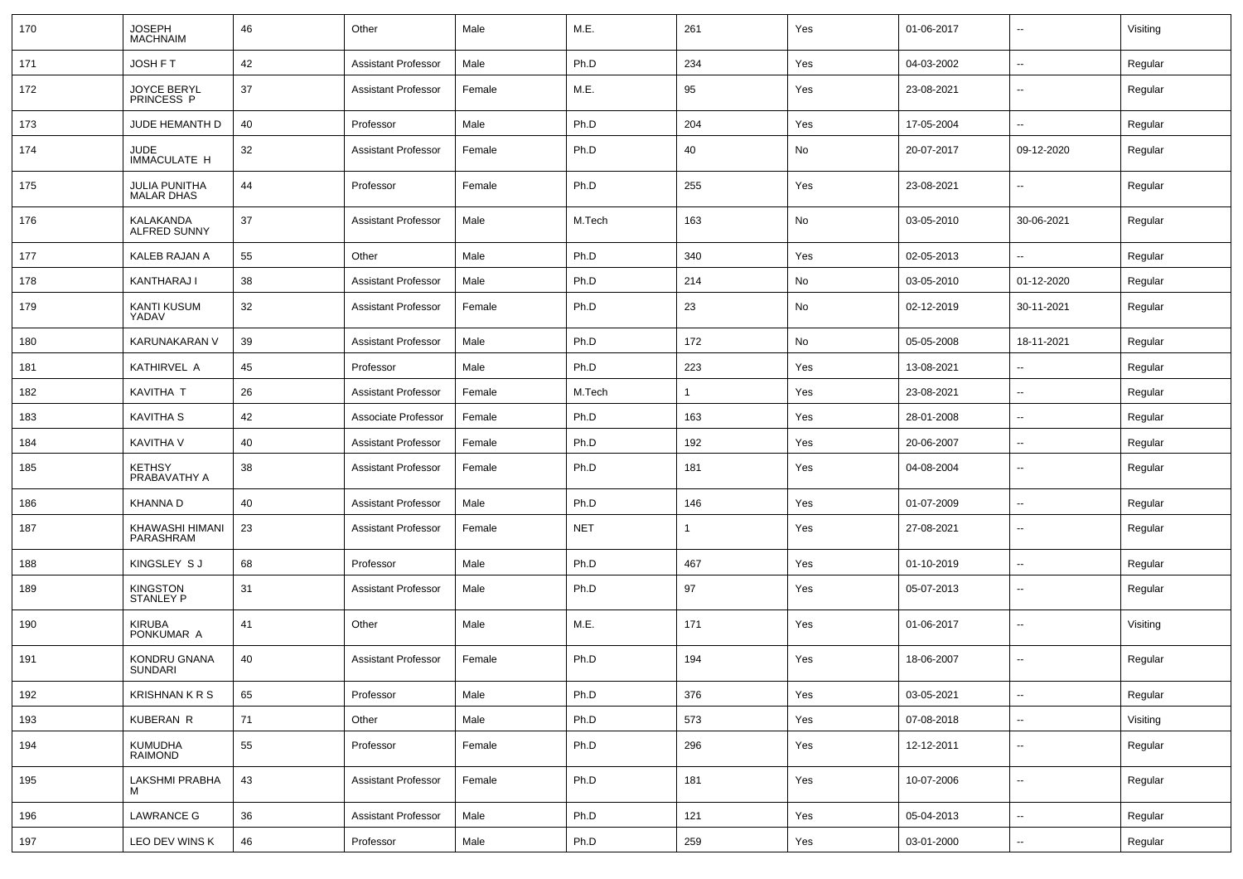| 170 | <b>JOSEPH</b><br><b>MACHNAIM</b>    | 46 | Other                      | Male   | M.E.       | 261          | Yes | 01-06-2017 | ⊷.                       | Visiting |
|-----|-------------------------------------|----|----------------------------|--------|------------|--------------|-----|------------|--------------------------|----------|
| 171 | JOSH F T                            | 42 | <b>Assistant Professor</b> | Male   | Ph.D       | 234          | Yes | 04-03-2002 | $\sim$                   | Regular  |
| 172 | <b>JOYCE BERYL</b><br>PRINCESS P    | 37 | <b>Assistant Professor</b> | Female | M.E.       | 95           | Yes | 23-08-2021 | --                       | Regular  |
| 173 | JUDE HEMANTH D                      | 40 | Professor                  | Male   | Ph.D       | 204          | Yes | 17-05-2004 | -−                       | Regular  |
| 174 | <b>JUDE</b><br>IMMACULATE H         | 32 | <b>Assistant Professor</b> | Female | Ph.D       | 40           | No  | 20-07-2017 | 09-12-2020               | Regular  |
| 175 | JULIA PUNITHA<br><b>MALAR DHAS</b>  | 44 | Professor                  | Female | Ph.D       | 255          | Yes | 23-08-2021 | $\overline{\phantom{a}}$ | Regular  |
| 176 | KALAKANDA<br><b>ALFRED SUNNY</b>    | 37 | <b>Assistant Professor</b> | Male   | M.Tech     | 163          | No  | 03-05-2010 | 30-06-2021               | Regular  |
| 177 | KALEB RAJAN A                       | 55 | Other                      | Male   | Ph.D       | 340          | Yes | 02-05-2013 |                          | Regular  |
| 178 | KANTHARAJ I                         | 38 | <b>Assistant Professor</b> | Male   | Ph.D       | 214          | No  | 03-05-2010 | 01-12-2020               | Regular  |
| 179 | KANTI KUSUM<br>YADAV                | 32 | <b>Assistant Professor</b> | Female | Ph.D       | 23           | No  | 02-12-2019 | 30-11-2021               | Regular  |
| 180 | KARUNAKARAN V                       | 39 | <b>Assistant Professor</b> | Male   | Ph.D       | 172          | No  | 05-05-2008 | 18-11-2021               | Regular  |
| 181 | KATHIRVEL A                         | 45 | Professor                  | Male   | Ph.D       | 223          | Yes | 13-08-2021 | $\overline{\phantom{a}}$ | Regular  |
| 182 | KAVITHA T                           | 26 | <b>Assistant Professor</b> | Female | M.Tech     | $\mathbf{1}$ | Yes | 23-08-2021 | $\sim$                   | Regular  |
| 183 | <b>KAVITHA S</b>                    | 42 | Associate Professor        | Female | Ph.D       | 163          | Yes | 28-01-2008 |                          | Regular  |
| 184 | KAVITHA V                           | 40 | <b>Assistant Professor</b> | Female | Ph.D       | 192          | Yes | 20-06-2007 | $\overline{a}$           | Regular  |
| 185 | <b>KETHSY</b><br>PRABAVATHY A       | 38 | <b>Assistant Professor</b> | Female | Ph.D       | 181          | Yes | 04-08-2004 | $\overline{\phantom{a}}$ | Regular  |
| 186 | <b>KHANNA D</b>                     | 40 | <b>Assistant Professor</b> | Male   | Ph.D       | 146          | Yes | 01-07-2009 | $\overline{\phantom{a}}$ | Regular  |
| 187 | KHAWASHI HIMANI<br>PARASHRAM        | 23 | <b>Assistant Professor</b> | Female | <b>NET</b> | $\mathbf{1}$ | Yes | 27-08-2021 | --                       | Regular  |
| 188 | KINGSLEY SJ                         | 68 | Professor                  | Male   | Ph.D       | 467          | Yes | 01-10-2019 | --                       | Regular  |
| 189 | <b>KINGSTON</b><br><b>STANLEY P</b> | 31 | Assistant Professor        | Male   | Ph.D       | 97           | Yes | 05-07-2013 | $\overline{a}$           | Regular  |
| 190 | <b>KIRUBA</b><br>PONKUMAR A         | 41 | Other                      | Male   | M.E.       | 171          | Yes | 01-06-2017 | $\overline{\phantom{a}}$ | Visiting |
| 191 | KONDRU GNANA<br><b>SUNDARI</b>      | 40 | <b>Assistant Professor</b> | Female | Ph.D       | 194          | Yes | 18-06-2007 | $\overline{a}$           | Regular  |
| 192 | <b>KRISHNAN K R S</b>               | 65 | Professor                  | Male   | Ph.D       | 376          | Yes | 03-05-2021 | $\sim$                   | Regular  |
| 193 | KUBERAN R                           | 71 | Other                      | Male   | Ph.D       | 573          | Yes | 07-08-2018 | $\sim$                   | Visiting |
| 194 | KUMUDHA<br>RAIMOND                  | 55 | Professor                  | Female | Ph.D       | 296          | Yes | 12-12-2011 | −−                       | Regular  |
| 195 | LAKSHMI PRABHA<br>М                 | 43 | <b>Assistant Professor</b> | Female | Ph.D       | 181          | Yes | 10-07-2006 | $\sim$                   | Regular  |
| 196 | <b>LAWRANCE G</b>                   | 36 | <b>Assistant Professor</b> | Male   | Ph.D       | 121          | Yes | 05-04-2013 | $\sim$                   | Regular  |
| 197 | LEO DEV WINS K                      | 46 | Professor                  | Male   | Ph.D       | 259          | Yes | 03-01-2000 | ۰.                       | Regular  |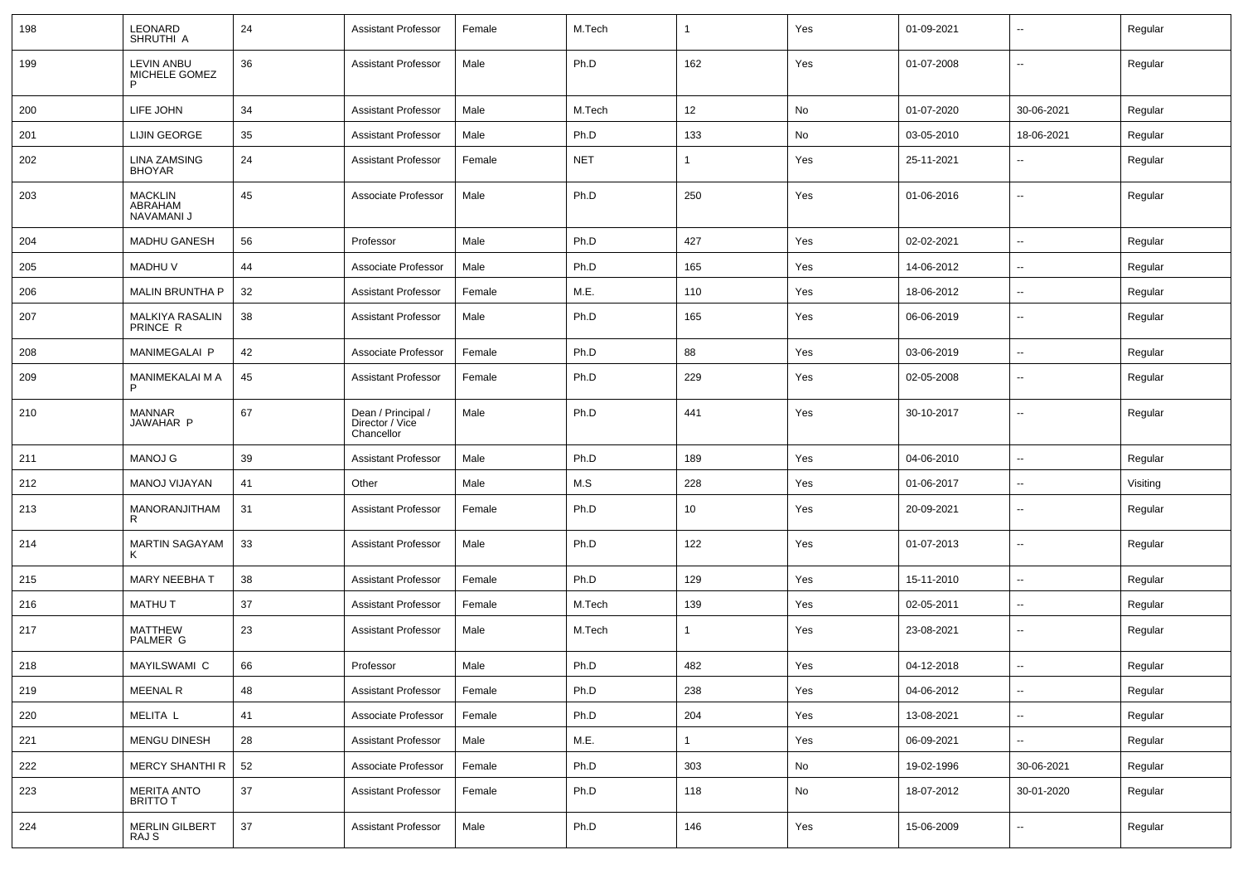| 198 | LEONARD<br>SHRUTHI A                    | 24 | <b>Assistant Professor</b>                          | Female | M.Tech     |                | Yes | 01-09-2021 |                          | Regular  |
|-----|-----------------------------------------|----|-----------------------------------------------------|--------|------------|----------------|-----|------------|--------------------------|----------|
| 199 | <b>LEVIN ANBU</b><br>MICHELE GOMEZ<br>P | 36 | <b>Assistant Professor</b>                          | Male   | Ph.D       | 162            | Yes | 01-07-2008 | --                       | Regular  |
| 200 | LIFE JOHN                               | 34 | <b>Assistant Professor</b>                          | Male   | M.Tech     | 12             | No  | 01-07-2020 | 30-06-2021               | Regular  |
| 201 | LIJIN GEORGE                            | 35 | <b>Assistant Professor</b>                          | Male   | Ph.D       | 133            | No  | 03-05-2010 | 18-06-2021               | Regular  |
| 202 | LINA ZAMSING<br><b>BHOYAR</b>           | 24 | <b>Assistant Professor</b>                          | Female | <b>NET</b> | -1             | Yes | 25-11-2021 | --                       | Regular  |
| 203 | <b>MACKLIN</b><br>ABRAHAM<br>NAVAMANI J | 45 | Associate Professor                                 | Male   | Ph.D       | 250            | Yes | 01-06-2016 | $\overline{\phantom{a}}$ | Regular  |
| 204 | <b>MADHU GANESH</b>                     | 56 | Professor                                           | Male   | Ph.D       | 427            | Yes | 02-02-2021 | ⊷.                       | Regular  |
| 205 | <b>MADHUV</b>                           | 44 | Associate Professor                                 | Male   | Ph.D       | 165            | Yes | 14-06-2012 | -−                       | Regular  |
| 206 | <b>MALIN BRUNTHA P</b>                  | 32 | <b>Assistant Professor</b>                          | Female | M.E.       | 110            | Yes | 18-06-2012 | -−                       | Regular  |
| 207 | MALKIYA RASALIN<br>PRINCE R             | 38 | <b>Assistant Professor</b>                          | Male   | Ph.D       | 165            | Yes | 06-06-2019 | --                       | Regular  |
| 208 | MANIMEGALAI P                           | 42 | Associate Professor                                 | Female | Ph.D       | 88             | Yes | 03-06-2019 | --                       | Regular  |
| 209 | MANIMEKALAI M A<br>P                    | 45 | <b>Assistant Professor</b>                          | Female | Ph.D       | 229            | Yes | 02-05-2008 | $\overline{\phantom{a}}$ | Regular  |
| 210 | <b>MANNAR</b><br>JAWAHAR P              | 67 | Dean / Principal /<br>Director / Vice<br>Chancellor | Male   | Ph.D       | 441            | Yes | 30-10-2017 | ⊷.                       | Regular  |
| 211 | <b>MANOJ G</b>                          | 39 | <b>Assistant Professor</b>                          | Male   | Ph.D       | 189            | Yes | 04-06-2010 | --                       | Regular  |
| 212 | MANOJ VIJAYAN                           | 41 | Other                                               | Male   | M.S        | 228            | Yes | 01-06-2017 | $\overline{\phantom{a}}$ | Visiting |
| 213 | MANORANJITHAM<br>R                      | 31 | <b>Assistant Professor</b>                          | Female | Ph.D       | 10             | Yes | 20-09-2021 | $\overline{\phantom{a}}$ | Regular  |
| 214 | <b>MARTIN SAGAYAM</b>                   | 33 | <b>Assistant Professor</b>                          | Male   | Ph.D       | 122            | Yes | 01-07-2013 | ⊷.                       | Regular  |
| 215 | <b>MARY NEEBHA T</b>                    | 38 | <b>Assistant Professor</b>                          | Female | Ph.D       | 129            | Yes | 15-11-2010 | $\overline{\phantom{a}}$ | Regular  |
| 216 | <b>MATHUT</b>                           | 37 | <b>Assistant Professor</b>                          | Female | M.Tech     | 139            | Yes | 02-05-2011 | -−                       | Regular  |
| 217 | MATTHEW<br>PALMER G                     | 23 | <b>Assistant Professor</b>                          | Male   | M.Tech     | $\mathbf{1}$   | Yes | 23-08-2021 | ⊷.                       | Regular  |
| 218 | MAYILSWAMI C                            | 66 | Professor                                           | Male   | Ph.D       | 482            | Yes | 04-12-2018 | -−                       | Regular  |
| 219 | MEENAL R                                | 48 | <b>Assistant Professor</b>                          | Female | Ph.D       | 238            | Yes | 04-06-2012 | Щ,                       | Regular  |
| 220 | MELITA L                                | 41 | Associate Professor                                 | Female | Ph.D       | 204            | Yes | 13-08-2021 | $\sim$                   | Regular  |
| 221 | <b>MENGU DINESH</b>                     | 28 | Assistant Professor                                 | Male   | M.E.       | $\overline{1}$ | Yes | 06-09-2021 | н.                       | Regular  |
| 222 | <b>MERCY SHANTHI R</b>                  | 52 | Associate Professor                                 | Female | Ph.D       | 303            | No  | 19-02-1996 | 30-06-2021               | Regular  |
| 223 | MERITA ANTO<br>BRITTO T                 | 37 | <b>Assistant Professor</b>                          | Female | Ph.D       | 118            | No  | 18-07-2012 | 30-01-2020               | Regular  |
| 224 | <b>MERLIN GILBERT</b><br>RAJ S          | 37 | Assistant Professor                                 | Male   | Ph.D       | 146            | Yes | 15-06-2009 | --                       | Regular  |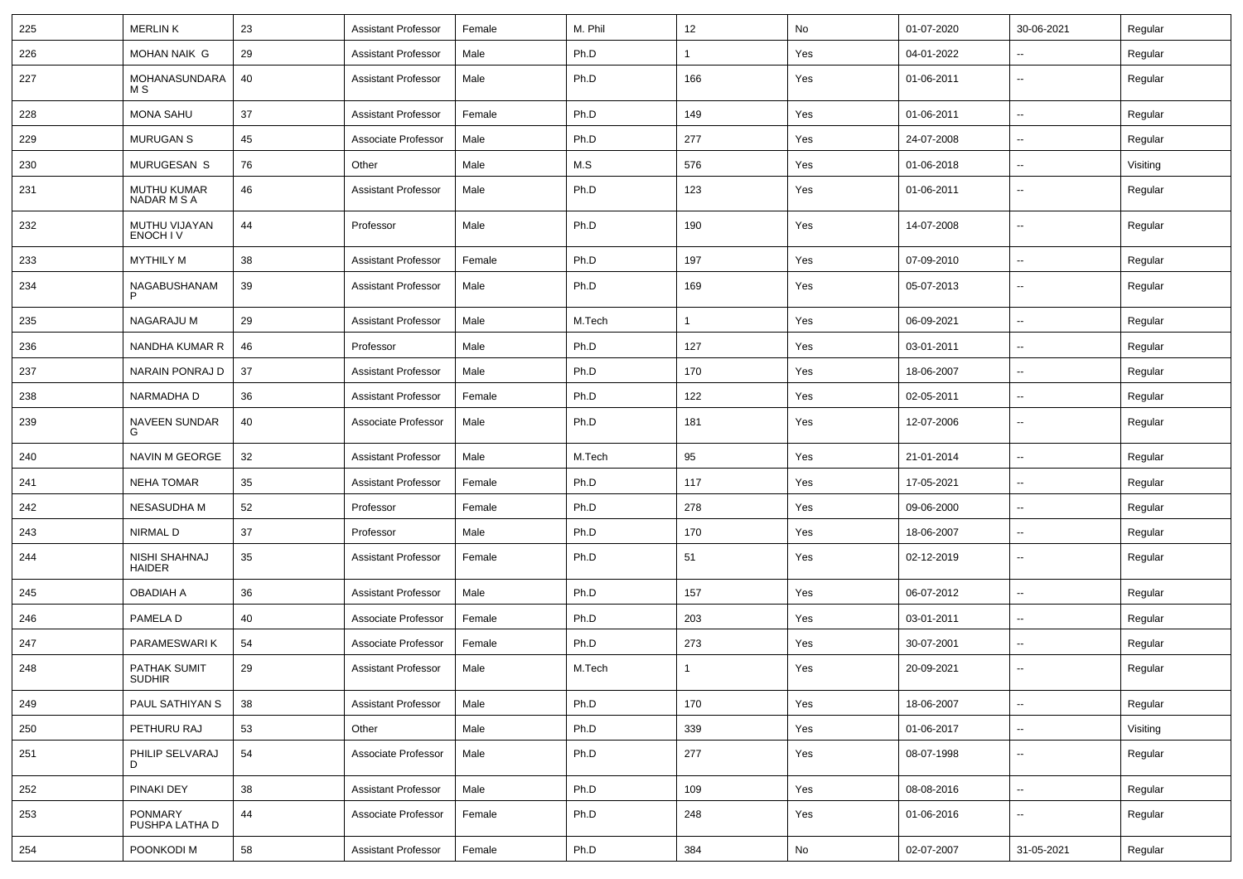| 225 | <b>MERLINK</b>                    | 23 | <b>Assistant Professor</b> | Female | M. Phil | 12  | No  | 01-07-2020 | 30-06-2021               | Regular  |
|-----|-----------------------------------|----|----------------------------|--------|---------|-----|-----|------------|--------------------------|----------|
| 226 | <b>MOHAN NAIK G</b>               | 29 | <b>Assistant Professor</b> | Male   | Ph.D    |     | Yes | 04-01-2022 | ۰.                       | Regular  |
| 227 | MOHANASUNDARA<br>M S              | 40 | <b>Assistant Professor</b> | Male   | Ph.D    | 166 | Yes | 01-06-2011 | ۰.                       | Regular  |
| 228 | <b>MONA SAHU</b>                  | 37 | <b>Assistant Professor</b> | Female | Ph.D    | 149 | Yes | 01-06-2011 | $\overline{a}$           | Regular  |
| 229 | <b>MURUGAN S</b>                  | 45 | Associate Professor        | Male   | Ph.D    | 277 | Yes | 24-07-2008 | ۰.                       | Regular  |
| 230 | MURUGESAN S                       | 76 | Other                      | Male   | M.S     | 576 | Yes | 01-06-2018 | ۰.                       | Visiting |
| 231 | <b>MUTHU KUMAR</b><br>NADAR M S A | 46 | <b>Assistant Professor</b> | Male   | Ph.D    | 123 | Yes | 01-06-2011 | $\overline{a}$           | Regular  |
| 232 | MUTHU VIJAYAN<br>ENOCH IV         | 44 | Professor                  | Male   | Ph.D    | 190 | Yes | 14-07-2008 | $\overline{a}$           | Regular  |
| 233 | <b>MYTHILY M</b>                  | 38 | <b>Assistant Professor</b> | Female | Ph.D    | 197 | Yes | 07-09-2010 | $\overline{\phantom{a}}$ | Regular  |
| 234 | NAGABUSHANAM<br>P                 | 39 | <b>Assistant Professor</b> | Male   | Ph.D    | 169 | Yes | 05-07-2013 | --                       | Regular  |
| 235 | NAGARAJU M                        | 29 | <b>Assistant Professor</b> | Male   | M.Tech  |     | Yes | 06-09-2021 | $\sim$                   | Regular  |
| 236 | NANDHA KUMAR R                    | 46 | Professor                  | Male   | Ph.D    | 127 | Yes | 03-01-2011 | --                       | Regular  |
| 237 | NARAIN PONRAJ D                   | 37 | <b>Assistant Professor</b> | Male   | Ph.D    | 170 | Yes | 18-06-2007 | $\overline{a}$           | Regular  |
| 238 | NARMADHA D                        | 36 | <b>Assistant Professor</b> | Female | Ph.D    | 122 | Yes | 02-05-2011 | ۰.                       | Regular  |
| 239 | <b>NAVEEN SUNDAR</b><br>G         | 40 | Associate Professor        | Male   | Ph.D    | 181 | Yes | 12-07-2006 | --                       | Regular  |
| 240 | NAVIN M GEORGE                    | 32 | <b>Assistant Professor</b> | Male   | M.Tech  | 95  | Yes | 21-01-2014 | $\overline{a}$           | Regular  |
| 241 | <b>NEHA TOMAR</b>                 | 35 | <b>Assistant Professor</b> | Female | Ph.D    | 117 | Yes | 17-05-2021 | $\sim$                   | Regular  |
| 242 | NESASUDHA M                       | 52 | Professor                  | Female | Ph.D    | 278 | Yes | 09-06-2000 | $\sim$                   | Regular  |
| 243 | NIRMAL D                          | 37 | Professor                  | Male   | Ph.D    | 170 | Yes | 18-06-2007 | $\overline{a}$           | Regular  |
| 244 | NISHI SHAHNAJ<br><b>HAIDER</b>    | 35 | Assistant Professor        | Female | Ph.D    | 51  | Yes | 02-12-2019 | $\overline{a}$           | Regular  |
| 245 | OBADIAH A                         | 36 | <b>Assistant Professor</b> | Male   | Ph.D    | 157 | Yes | 06-07-2012 | $\sim$                   | Regular  |
| 246 | PAMELA D                          | 40 | Associate Professor        | Female | Ph.D    | 203 | Yes | 03-01-2011 | $\overline{\phantom{a}}$ | Regular  |
| 247 | PARAMESWARI K                     | 54 | Associate Professor        | Female | Ph.D    | 273 | Yes | 30-07-2001 | ۰.                       | Regular  |
| 248 | PATHAK SUMIT<br>SUDHIR            | 29 | <b>Assistant Professor</b> | Male   | M.Tech  |     | Yes | 20-09-2021 | $\sim$                   | Regular  |
| 249 | PAUL SATHIYAN S                   | 38 | <b>Assistant Professor</b> | Male   | Ph.D    | 170 | Yes | 18-06-2007 | $\sim$                   | Regular  |
| 250 | PETHURU RAJ                       | 53 | Other                      | Male   | Ph.D    | 339 | Yes | 01-06-2017 | $\sim$                   | Visiting |
| 251 | PHILIP SELVARAJ<br>D              | 54 | Associate Professor        | Male   | Ph.D    | 277 | Yes | 08-07-1998 | $\sim$                   | Regular  |
| 252 | PINAKI DEY                        | 38 | <b>Assistant Professor</b> | Male   | Ph.D    | 109 | Yes | 08-08-2016 | щ.                       | Regular  |
| 253 | PONMARY<br>PUSHPA LATHA D         | 44 | Associate Professor        | Female | Ph.D    | 248 | Yes | 01-06-2016 | щ.                       | Regular  |
| 254 | POONKODI M                        | 58 | <b>Assistant Professor</b> | Female | Ph.D    | 384 | No  | 02-07-2007 | 31-05-2021               | Regular  |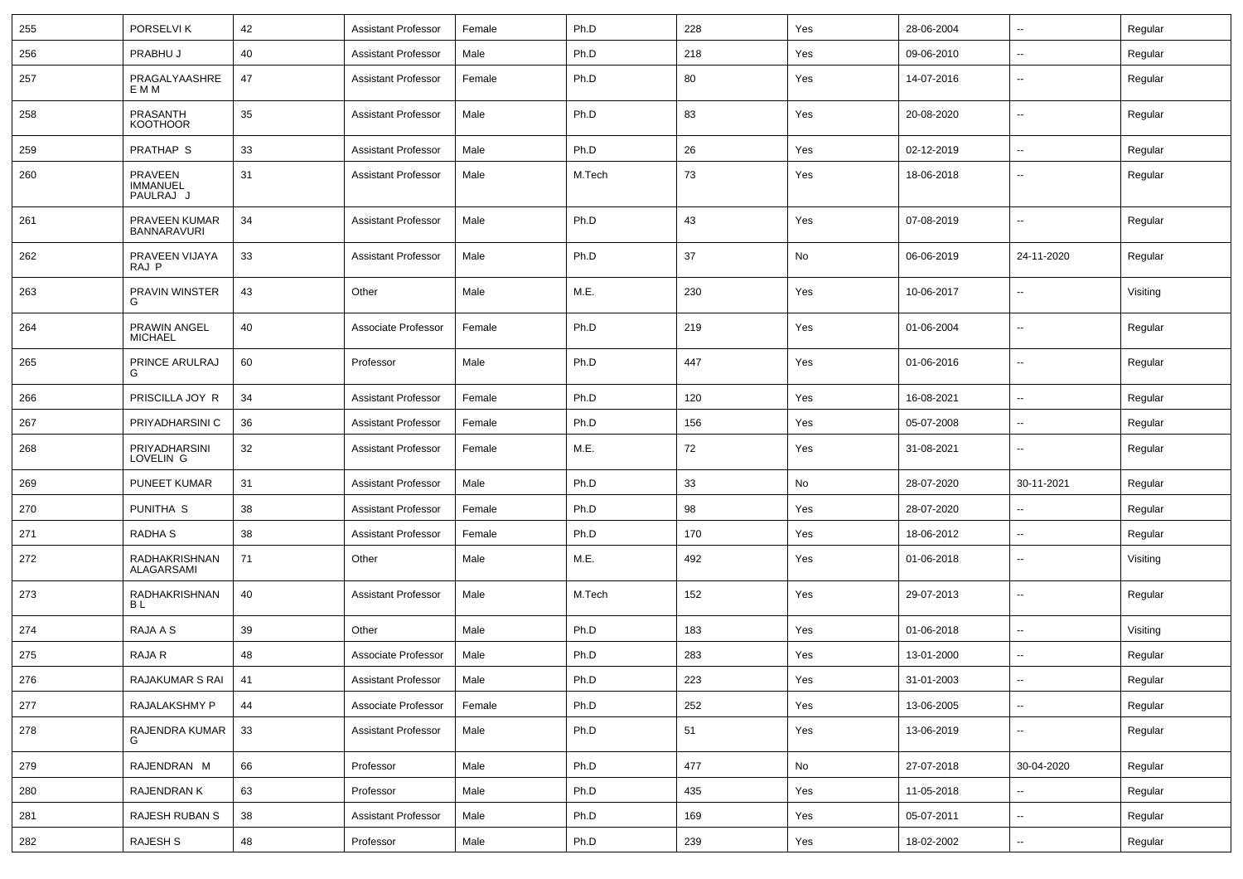| 255 | PORSELVI K                              | 42     | <b>Assistant Professor</b> | Female | Ph.D   | 228 | Yes | 28-06-2004 | ⊷.                       | Regular  |
|-----|-----------------------------------------|--------|----------------------------|--------|--------|-----|-----|------------|--------------------------|----------|
| 256 | PRABHU J                                | 40     | <b>Assistant Professor</b> | Male   | Ph.D   | 218 | Yes | 09-06-2010 | -−                       | Regular  |
| 257 | PRAGALYAASHRE<br>E M M                  | 47     | <b>Assistant Professor</b> | Female | Ph.D   | 80  | Yes | 14-07-2016 | $\overline{\phantom{a}}$ | Regular  |
| 258 | PRASANTH<br><b>KOOTHOOR</b>             | 35     | <b>Assistant Professor</b> | Male   | Ph.D   | 83  | Yes | 20-08-2020 | ⊷.                       | Regular  |
| 259 | <b>PRATHAP S</b>                        | 33     | <b>Assistant Professor</b> | Male   | Ph.D   | 26  | Yes | 02-12-2019 | ⊷.                       | Regular  |
| 260 | PRAVEEN<br><b>IMMANUEL</b><br>PAULRAJ J | 31     | <b>Assistant Professor</b> | Male   | M.Tech | 73  | Yes | 18-06-2018 | --                       | Regular  |
| 261 | PRAVEEN KUMAR<br><b>BANNARAVURI</b>     | 34     | <b>Assistant Professor</b> | Male   | Ph.D   | 43  | Yes | 07-08-2019 | ⊷.                       | Regular  |
| 262 | PRAVEEN VIJAYA<br>RAJ P                 | 33     | <b>Assistant Professor</b> | Male   | Ph.D   | 37  | No  | 06-06-2019 | 24-11-2020               | Regular  |
| 263 | PRAVIN WINSTER<br>G                     | 43     | Other                      | Male   | M.E.   | 230 | Yes | 10-06-2017 | ⊷.                       | Visiting |
| 264 | PRAWIN ANGEL<br><b>MICHAEL</b>          | 40     | Associate Professor        | Female | Ph.D   | 219 | Yes | 01-06-2004 | ⊷.                       | Regular  |
| 265 | PRINCE ARULRAJ<br>G                     | 60     | Professor                  | Male   | Ph.D   | 447 | Yes | 01-06-2016 | ⊷.                       | Regular  |
| 266 | PRISCILLA JOY R                         | 34     | <b>Assistant Professor</b> | Female | Ph.D   | 120 | Yes | 16-08-2021 | ⊷.                       | Regular  |
| 267 | PRIYADHARSINI C                         | 36     | <b>Assistant Professor</b> | Female | Ph.D   | 156 | Yes | 05-07-2008 | $\overline{\phantom{a}}$ | Regular  |
| 268 | PRIYADHARSINI<br>LOVELIN G              | 32     | <b>Assistant Professor</b> | Female | M.E.   | 72  | Yes | 31-08-2021 |                          | Regular  |
| 269 | <b>PUNEET KUMAR</b>                     | 31     | <b>Assistant Professor</b> | Male   | Ph.D   | 33  | No  | 28-07-2020 | 30-11-2021               | Regular  |
| 270 | PUNITHA <sub>S</sub>                    | 38     | <b>Assistant Professor</b> | Female | Ph.D   | 98  | Yes | 28-07-2020 | $\overline{\phantom{a}}$ | Regular  |
| 271 | RADHA <sub>S</sub>                      | 38     | <b>Assistant Professor</b> | Female | Ph.D   | 170 | Yes | 18-06-2012 | ⊷.                       | Regular  |
| 272 | RADHAKRISHNAN<br>ALAGARSAMI             | 71     | Other                      | Male   | M.E.   | 492 | Yes | 01-06-2018 | н.                       | Visiting |
| 273 | RADHAKRISHNAN<br>ΒL                     | 40     | <b>Assistant Professor</b> | Male   | M.Tech | 152 | Yes | 29-07-2013 | -−                       | Regular  |
| 274 | RAJA A S                                | 39     | Other                      | Male   | Ph.D   | 183 | Yes | 01-06-2018 | н.                       | Visiting |
| 275 | RAJA R                                  | 48     | Associate Professor        | Male   | Ph.D   | 283 | Yes | 13-01-2000 | н.                       | Regular  |
| 276 | RAJAKUMAR S RAI 41                      |        | Assistant Professor        | Male   | Ph.D   | 223 | Yes | 31-01-2003 | ⊷.                       | Regular  |
| 277 | RAJALAKSHMY P                           | 44     | Associate Professor        | Female | Ph.D   | 252 | Yes | 13-06-2005 | ш.                       | Regular  |
| 278 | RAJENDRA KUMAR                          | 33     | <b>Assistant Professor</b> | Male   | Ph.D   | 51  | Yes | 13-06-2019 | $\overline{\phantom{a}}$ | Regular  |
| 279 | RAJENDRAN M                             | 66     | Professor                  | Male   | Ph.D   | 477 | No  | 27-07-2018 | 30-04-2020               | Regular  |
| 280 | RAJENDRAN K                             | 63     | Professor                  | Male   | Ph.D   | 435 | Yes | 11-05-2018 | н.                       | Regular  |
| 281 | RAJESH RUBAN S                          | 38     | <b>Assistant Professor</b> | Male   | Ph.D   | 169 | Yes | 05-07-2011 | $\sim$                   | Regular  |
| 282 | RAJESH S                                | $48\,$ | Professor                  | Male   | Ph.D   | 239 | Yes | 18-02-2002 | $\sim$                   | Regular  |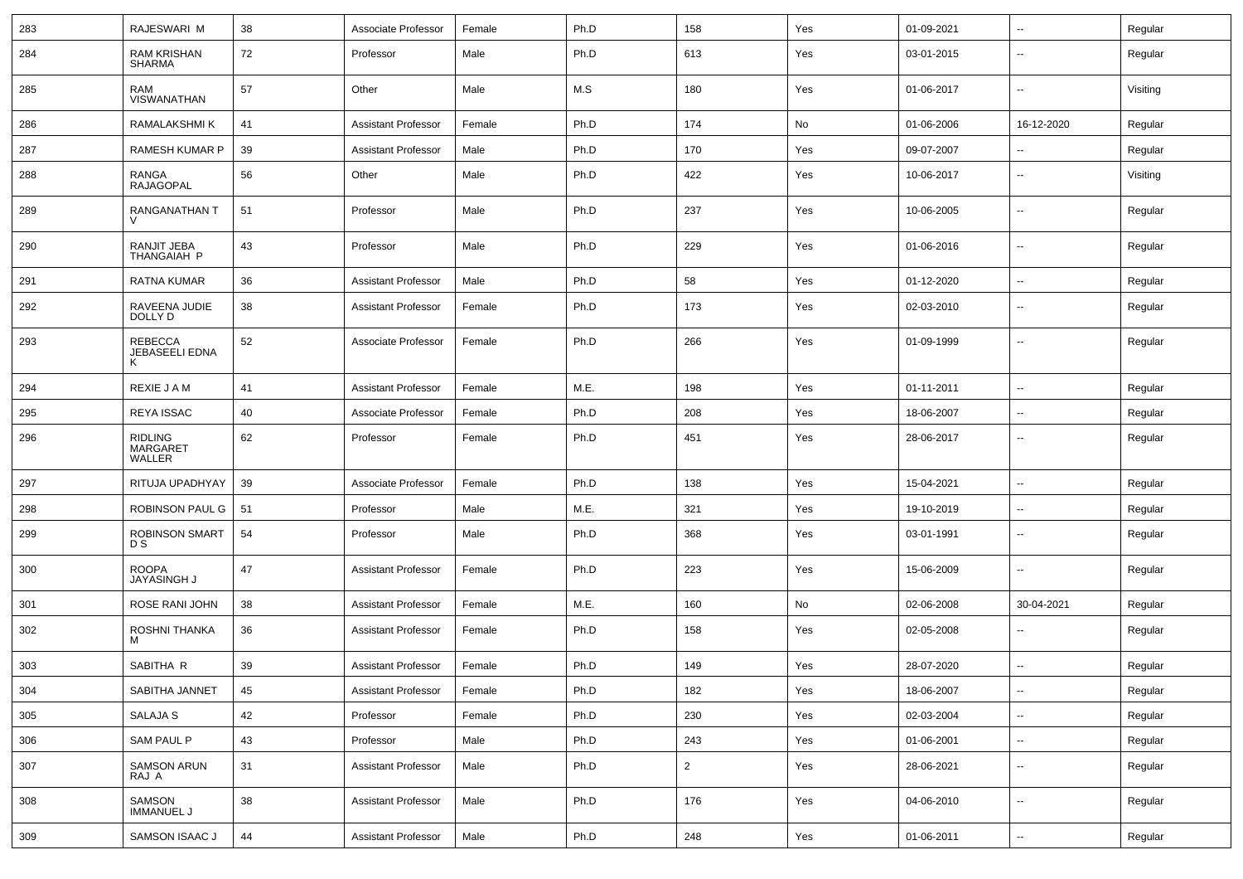| 283 | RAJESWARI M                                 | 38 | Associate Professor        | Female | Ph.D | 158            | Yes | 01-09-2021 | $\overline{\phantom{a}}$ | Regular  |
|-----|---------------------------------------------|----|----------------------------|--------|------|----------------|-----|------------|--------------------------|----------|
| 284 | RAM KRISHAN<br><b>SHARMA</b>                | 72 | Professor                  | Male   | Ph.D | 613            | Yes | 03-01-2015 | --                       | Regular  |
| 285 | RAM<br>VISWANATHAN                          | 57 | Other                      | Male   | M.S  | 180            | Yes | 01-06-2017 | --                       | Visiting |
| 286 | RAMALAKSHMI K                               | 41 | <b>Assistant Professor</b> | Female | Ph.D | 174            | No  | 01-06-2006 | 16-12-2020               | Regular  |
| 287 | RAMESH KUMAR P                              | 39 | <b>Assistant Professor</b> | Male   | Ph.D | 170            | Yes | 09-07-2007 | $\overline{\phantom{a}}$ | Regular  |
| 288 | RANGA<br><b>RAJAGOPAL</b>                   | 56 | Other                      | Male   | Ph.D | 422            | Yes | 10-06-2017 | $\overline{\phantom{a}}$ | Visiting |
| 289 | RANGANATHAN T                               | 51 | Professor                  | Male   | Ph.D | 237            | Yes | 10-06-2005 | $\overline{\phantom{a}}$ | Regular  |
| 290 | RANJIT JEBA<br>THANGAIAH P                  | 43 | Professor                  | Male   | Ph.D | 229            | Yes | 01-06-2016 | $\overline{\phantom{a}}$ | Regular  |
| 291 | RATNA KUMAR                                 | 36 | <b>Assistant Professor</b> | Male   | Ph.D | 58             | Yes | 01-12-2020 | $\overline{\phantom{a}}$ | Regular  |
| 292 | RAVEENA JUDIE<br>DOLLY D                    | 38 | <b>Assistant Professor</b> | Female | Ph.D | 173            | Yes | 02-03-2010 | --                       | Regular  |
| 293 | <b>REBECCA</b><br>JEBASEELI EDNA<br>к       | 52 | Associate Professor        | Female | Ph.D | 266            | Yes | 01-09-1999 | --                       | Regular  |
| 294 | REXIE J A M                                 | 41 | <b>Assistant Professor</b> | Female | M.E. | 198            | Yes | 01-11-2011 | $\overline{\phantom{a}}$ | Regular  |
| 295 | <b>REYA ISSAC</b>                           | 40 | Associate Professor        | Female | Ph.D | 208            | Yes | 18-06-2007 | --                       | Regular  |
| 296 | <b>RIDLING</b><br><b>MARGARET</b><br>WALLER | 62 | Professor                  | Female | Ph.D | 451            | Yes | 28-06-2017 | $\mathbf{u}$             | Regular  |
| 297 | RITUJA UPADHYAY                             | 39 | Associate Professor        | Female | Ph.D | 138            | Yes | 15-04-2021 | --                       | Regular  |
| 298 | ROBINSON PAUL G                             | 51 | Professor                  | Male   | M.E. | 321            | Yes | 19-10-2019 | $\mathbf{u}$             | Regular  |
| 299 | <b>ROBINSON SMART</b><br>D S                | 54 | Professor                  | Male   | Ph.D | 368            | Yes | 03-01-1991 | $\sim$                   | Regular  |
| 300 | <b>ROOPA</b><br><b>JAYASINGH J</b>          | 47 | Assistant Professor        | Female | Ph.D | 223            | Yes | 15-06-2009 | $\sim$                   | Regular  |
| 301 | ROSE RANI JOHN                              | 38 | <b>Assistant Professor</b> | Female | M.E. | 160            | No  | 02-06-2008 | 30-04-2021               | Regular  |
| 302 | ROSHNI THANKA<br>м                          | 36 | <b>Assistant Professor</b> | Female | Ph.D | 158            | Yes | 02-05-2008 | --                       | Regular  |
| 303 | SABITHA R                                   | 39 | <b>Assistant Professor</b> | Female | Ph.D | 149            | Yes | 28-07-2020 |                          | Regular  |
| 304 | SABITHA JANNET                              | 45 | <b>Assistant Professor</b> | Female | Ph.D | 182            | Yes | 18-06-2007 | $\overline{\phantom{a}}$ | Regular  |
| 305 | SALAJA S                                    | 42 | Professor                  | Female | Ph.D | 230            | Yes | 02-03-2004 | $\sim$                   | Regular  |
| 306 | <b>SAM PAUL P</b>                           | 43 | Professor                  | Male   | Ph.D | 243            | Yes | 01-06-2001 | $\sim$                   | Regular  |
| 307 | <b>SAMSON ARUN</b><br>RAJ A                 | 31 | <b>Assistant Professor</b> | Male   | Ph.D | $\overline{2}$ | Yes | 28-06-2021 | $\sim$                   | Regular  |
| 308 | SAMSON<br>IMMANUEL J                        | 38 | <b>Assistant Professor</b> | Male   | Ph.D | 176            | Yes | 04-06-2010 | $\overline{\phantom{a}}$ | Regular  |
| 309 | SAMSON ISAAC J                              | 44 | <b>Assistant Professor</b> | Male   | Ph.D | 248            | Yes | 01-06-2011 | $\sim$                   | Regular  |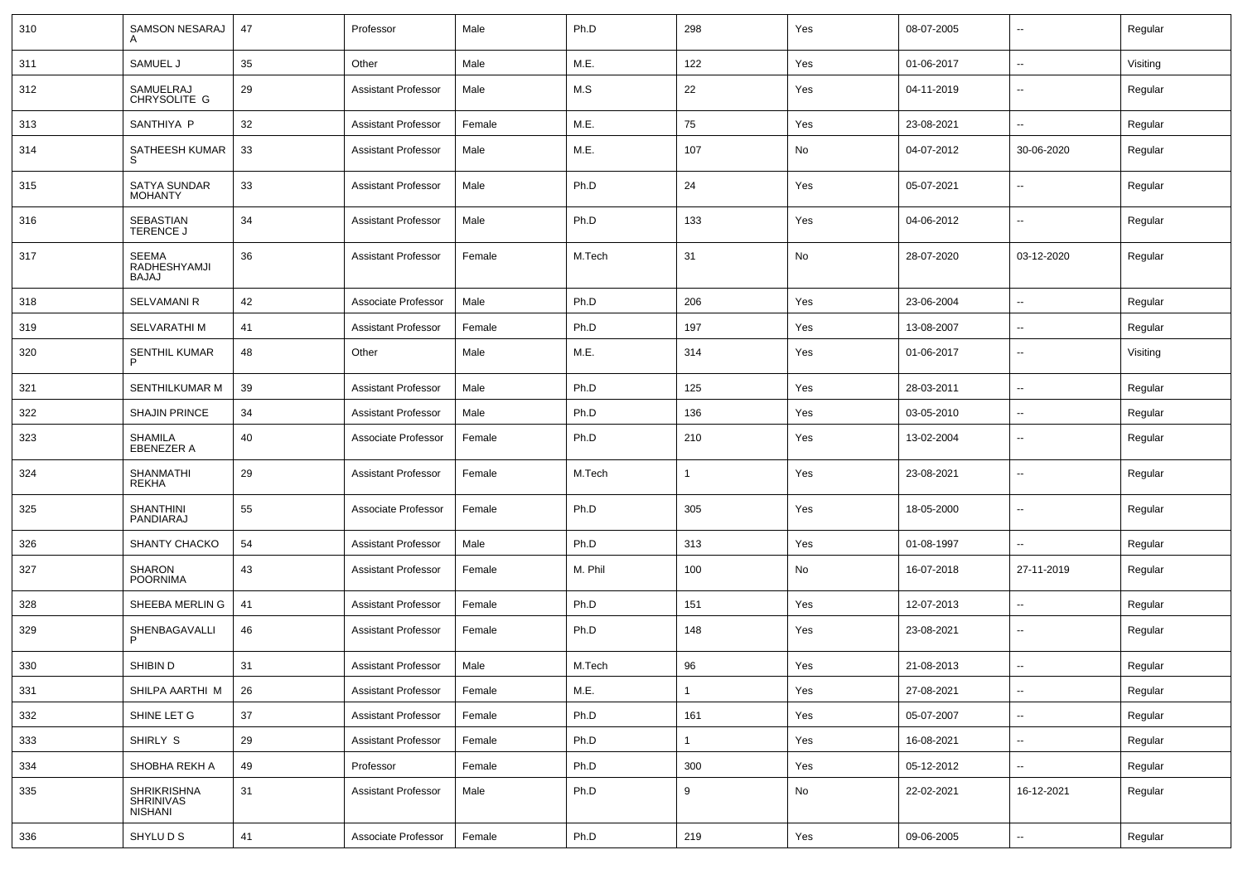| 310 | SAMSON NESARAJ                                    | 47 | Professor                  | Male   | Ph.D    | 298          | Yes           | 08-07-2005 | $\mathbf{u}$             | Regular  |
|-----|---------------------------------------------------|----|----------------------------|--------|---------|--------------|---------------|------------|--------------------------|----------|
| 311 | SAMUEL J                                          | 35 | Other                      | Male   | M.E.    | 122          | Yes           | 01-06-2017 | $\sim$                   | Visiting |
| 312 | SAMUELRAJ<br>CHRYSOLITE G                         | 29 | Assistant Professor        | Male   | M.S     | 22           | Yes           | 04-11-2019 | $\sim$                   | Regular  |
| 313 | SANTHIYA P                                        | 32 | <b>Assistant Professor</b> | Female | M.E.    | 75           | Yes           | 23-08-2021 | $\sim$                   | Regular  |
| 314 | SATHEESH KUMAR<br>S                               | 33 | Assistant Professor        | Male   | M.E.    | 107          | No            | 04-07-2012 | 30-06-2020               | Regular  |
| 315 | SATYA SUNDAR<br><b>MOHANTY</b>                    | 33 | Assistant Professor        | Male   | Ph.D    | 24           | Yes           | 05-07-2021 | $\overline{\phantom{a}}$ | Regular  |
| 316 | <b>SEBASTIAN</b><br><b>TERENCE J</b>              | 34 | Assistant Professor        | Male   | Ph.D    | 133          | Yes           | 04-06-2012 | $\overline{\phantom{a}}$ | Regular  |
| 317 | <b>SEEMA</b><br>RADHESHYAMJI<br>BAJAJ             | 36 | Assistant Professor        | Female | M.Tech  | 31           | No            | 28-07-2020 | 03-12-2020               | Regular  |
| 318 | <b>SELVAMANI R</b>                                | 42 | Associate Professor        | Male   | Ph.D    | 206          | Yes           | 23-06-2004 | $\sim$                   | Regular  |
| 319 | SELVARATHI M                                      | 41 | Assistant Professor        | Female | Ph.D    | 197          | Yes           | 13-08-2007 | $\overline{\phantom{a}}$ | Regular  |
| 320 | SENTHIL KUMAR                                     | 48 | Other                      | Male   | M.E.    | 314          | Yes           | 01-06-2017 | $\overline{\phantom{a}}$ | Visiting |
| 321 | SENTHILKUMAR M                                    | 39 | <b>Assistant Professor</b> | Male   | Ph.D    | 125          | Yes           | 28-03-2011 | $\overline{\phantom{a}}$ | Regular  |
| 322 | <b>SHAJIN PRINCE</b>                              | 34 | <b>Assistant Professor</b> | Male   | Ph.D    | 136          | Yes           | 03-05-2010 | $\overline{\phantom{a}}$ | Regular  |
| 323 | <b>SHAMILA</b><br><b>EBENEZER A</b>               | 40 | Associate Professor        | Female | Ph.D    | 210          | Yes           | 13-02-2004 | $\overline{\phantom{a}}$ | Regular  |
| 324 | <b>SHANMATHI</b><br><b>REKHA</b>                  | 29 | <b>Assistant Professor</b> | Female | M.Tech  | $\mathbf{1}$ | Yes           | 23-08-2021 | $\overline{\phantom{a}}$ | Regular  |
| 325 | <b>SHANTHINI</b><br>PANDIARAJ                     | 55 | Associate Professor        | Female | Ph.D    | 305          | Yes           | 18-05-2000 | --                       | Regular  |
| 326 | <b>SHANTY CHACKO</b>                              | 54 | <b>Assistant Professor</b> | Male   | Ph.D    | 313          | Yes           | 01-08-1997 |                          | Regular  |
| 327 | <b>SHARON</b><br><b>POORNIMA</b>                  | 43 | <b>Assistant Professor</b> | Female | M. Phil | 100          | No            | 16-07-2018 | 27-11-2019               | Regular  |
| 328 | SHEEBA MERLIN G                                   | 41 | <b>Assistant Professor</b> | Female | Ph.D    | 151          | Yes           | 12-07-2013 | $\sim$                   | Regular  |
| 329 | SHENBAGAVALLI                                     | 46 | <b>Assistant Professor</b> | Female | Ph.D    | 148          | Yes           | 23-08-2021 | $\sim$                   | Regular  |
| 330 | SHIBIN D                                          | 31 | <b>Assistant Professor</b> | Male   | M.Tech  | 96           | Yes           | 21-08-2013 | $\sim$                   | Regular  |
| 331 | SHILPA AARTHI M                                   | 26 | <b>Assistant Professor</b> | Female | M.E.    | $\mathbf{1}$ | Yes           | 27-08-2021 | $\overline{\phantom{a}}$ | Regular  |
| 332 | SHINE LET G                                       | 37 | <b>Assistant Professor</b> | Female | Ph.D    | 161          | Yes           | 05-07-2007 | $\sim$                   | Regular  |
| 333 | SHIRLY S                                          | 29 | <b>Assistant Professor</b> | Female | Ph.D    | $\mathbf{1}$ | Yes           | 16-08-2021 | $\sim$                   | Regular  |
| 334 | SHOBHA REKH A                                     | 49 | Professor                  | Female | Ph.D    | 300          | Yes           | 05-12-2012 |                          | Regular  |
| 335 | <b>SHRIKRISHNA</b><br>SHRINIVAS<br><b>NISHANI</b> | 31 | Assistant Professor        | Male   | Ph.D    | 9            | $\mathsf{No}$ | 22-02-2021 | 16-12-2021               | Regular  |
| 336 | SHYLU D S                                         | 41 | Associate Professor        | Female | Ph.D    | 219          | Yes           | 09-06-2005 | $\sim$                   | Regular  |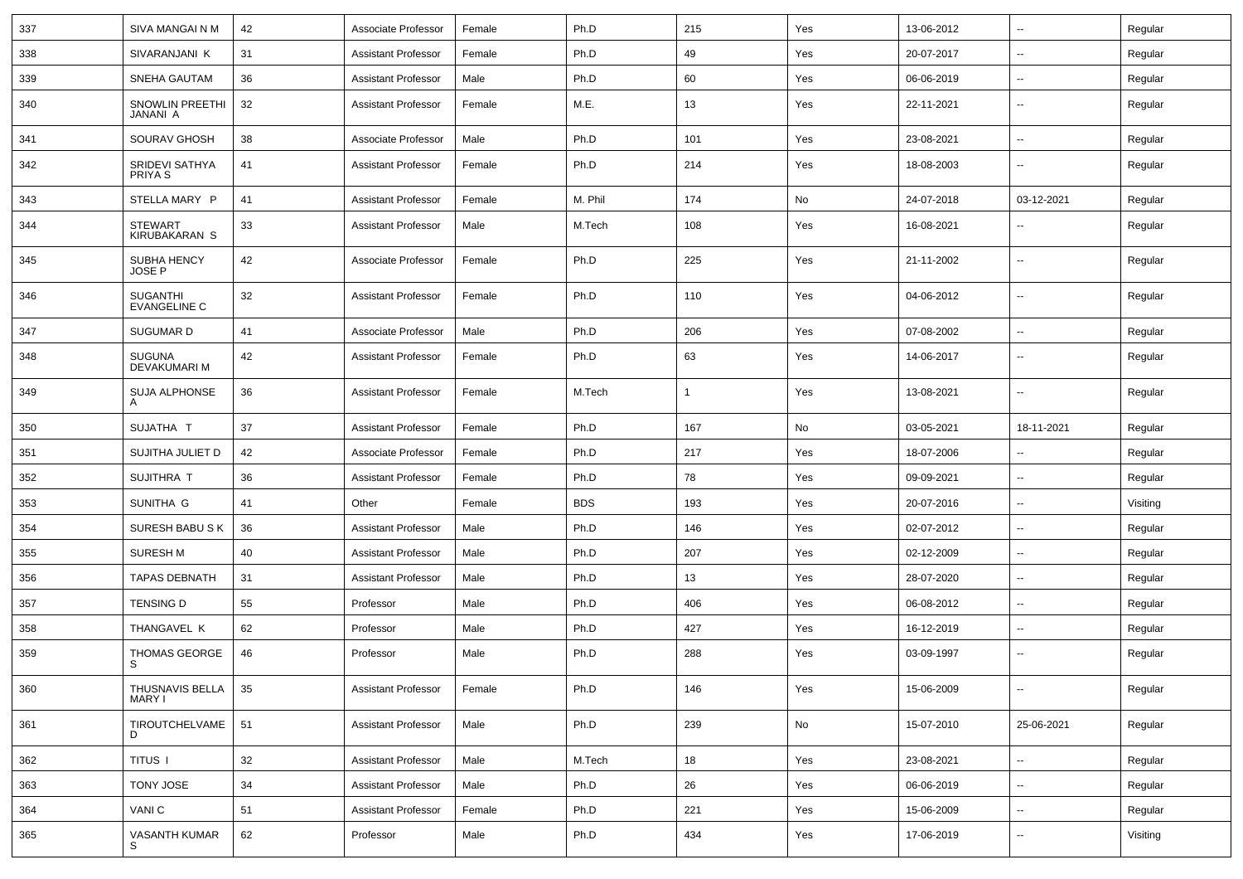| 337 | SIVA MANGAI N M                        | 42 | Associate Professor        | Female | Ph.D       | 215 | Yes | 13-06-2012 | $\sim$                   | Regular  |
|-----|----------------------------------------|----|----------------------------|--------|------------|-----|-----|------------|--------------------------|----------|
| 338 | SIVARANJANI K                          | 31 | <b>Assistant Professor</b> | Female | Ph.D       | 49  | Yes | 20-07-2017 | --                       | Regular  |
| 339 | SNEHA GAUTAM                           | 36 | <b>Assistant Professor</b> | Male   | Ph.D       | 60  | Yes | 06-06-2019 | $\overline{\phantom{a}}$ | Regular  |
| 340 | <b>SNOWLIN PREETHI</b><br>JANANI A     | 32 | <b>Assistant Professor</b> | Female | M.E.       | 13  | Yes | 22-11-2021 | $\overline{\phantom{a}}$ | Regular  |
| 341 | SOURAV GHOSH                           | 38 | Associate Professor        | Male   | Ph.D       | 101 | Yes | 23-08-2021 | $\overline{\phantom{a}}$ | Regular  |
| 342 | SRIDEVI SATHYA<br>PRIYA S              | 41 | Assistant Professor        | Female | Ph.D       | 214 | Yes | 18-08-2003 |                          | Regular  |
| 343 | STELLA MARY P                          | 41 | <b>Assistant Professor</b> | Female | M. Phil    | 174 | No  | 24-07-2018 | 03-12-2021               | Regular  |
| 344 | <b>STEWART</b><br><b>KIRUBAKARAN S</b> | 33 | Assistant Professor        | Male   | M.Tech     | 108 | Yes | 16-08-2021 |                          | Regular  |
| 345 | SUBHA HENCY<br><b>JOSE P</b>           | 42 | Associate Professor        | Female | Ph.D       | 225 | Yes | 21-11-2002 | $\overline{\phantom{a}}$ | Regular  |
| 346 | <b>SUGANTHI</b><br><b>EVANGELINE C</b> | 32 | <b>Assistant Professor</b> | Female | Ph.D       | 110 | Yes | 04-06-2012 | $\overline{\phantom{a}}$ | Regular  |
| 347 | <b>SUGUMARD</b>                        | 41 | Associate Professor        | Male   | Ph.D       | 206 | Yes | 07-08-2002 | $\overline{a}$           | Regular  |
| 348 | <b>SUGUNA</b><br>DEVAKUMARI M          | 42 | <b>Assistant Professor</b> | Female | Ph.D       | 63  | Yes | 14-06-2017 | --                       | Regular  |
| 349 | <b>SUJA ALPHONSE</b><br>A              | 36 | <b>Assistant Professor</b> | Female | M.Tech     | -1  | Yes | 13-08-2021 | --                       | Regular  |
| 350 | SUJATHA T                              | 37 | <b>Assistant Professor</b> | Female | Ph.D       | 167 | No  | 03-05-2021 | 18-11-2021               | Regular  |
| 351 | SUJITHA JULIET D                       | 42 | Associate Professor        | Female | Ph.D       | 217 | Yes | 18-07-2006 | -−                       | Regular  |
| 352 | SUJITHRA T                             | 36 | <b>Assistant Professor</b> | Female | Ph.D       | 78  | Yes | 09-09-2021 | --                       | Regular  |
| 353 | SUNITHA G                              | 41 | Other                      | Female | <b>BDS</b> | 193 | Yes | 20-07-2016 | $\overline{\phantom{a}}$ | Visiting |
| 354 | <b>SURESH BABU SK</b>                  | 36 | <b>Assistant Professor</b> | Male   | Ph.D       | 146 | Yes | 02-07-2012 | --                       | Regular  |
| 355 | <b>SURESH M</b>                        | 40 | <b>Assistant Professor</b> | Male   | Ph.D       | 207 | Yes | 02-12-2009 | $\sim$                   | Regular  |
| 356 | <b>TAPAS DEBNATH</b>                   | 31 | <b>Assistant Professor</b> | Male   | Ph.D       | 13  | Yes | 28-07-2020 | $\overline{\phantom{a}}$ | Regular  |
| 357 | <b>TENSING D</b>                       | 55 | Professor                  | Male   | Ph.D       | 406 | Yes | 06-08-2012 | ⊷.                       | Regular  |
| 358 | THANGAVEL K                            | 62 | Professor                  | Male   | Ph.D       | 427 | Yes | 16-12-2019 | -−                       | Regular  |
| 359 | <b>THOMAS GEORGE</b><br>S              | 46 | Professor                  | Male   | Ph.D       | 288 | Yes | 03-09-1997 | --                       | Regular  |
| 360 | THUSNAVIS BELLA<br>MARY I              | 35 | <b>Assistant Professor</b> | Female | Ph.D       | 146 | Yes | 15-06-2009 | $\sim$                   | Regular  |
| 361 | TIROUTCHELVAME<br>D.                   | 51 | <b>Assistant Professor</b> | Male   | Ph.D       | 239 | No  | 15-07-2010 | 25-06-2021               | Regular  |
| 362 | TITUS I                                | 32 | <b>Assistant Professor</b> | Male   | M.Tech     | 18  | Yes | 23-08-2021 | $\sim$                   | Regular  |
| 363 | <b>TONY JOSE</b>                       | 34 | <b>Assistant Professor</b> | Male   | Ph.D       | 26  | Yes | 06-06-2019 | $\sim$                   | Regular  |
| 364 | VANI C                                 | 51 | <b>Assistant Professor</b> | Female | Ph.D       | 221 | Yes | 15-06-2009 | $\sim$                   | Regular  |
| 365 | VASANTH KUMAR<br>S                     | 62 | Professor                  | Male   | Ph.D       | 434 | Yes | 17-06-2019 | $\sim$                   | Visiting |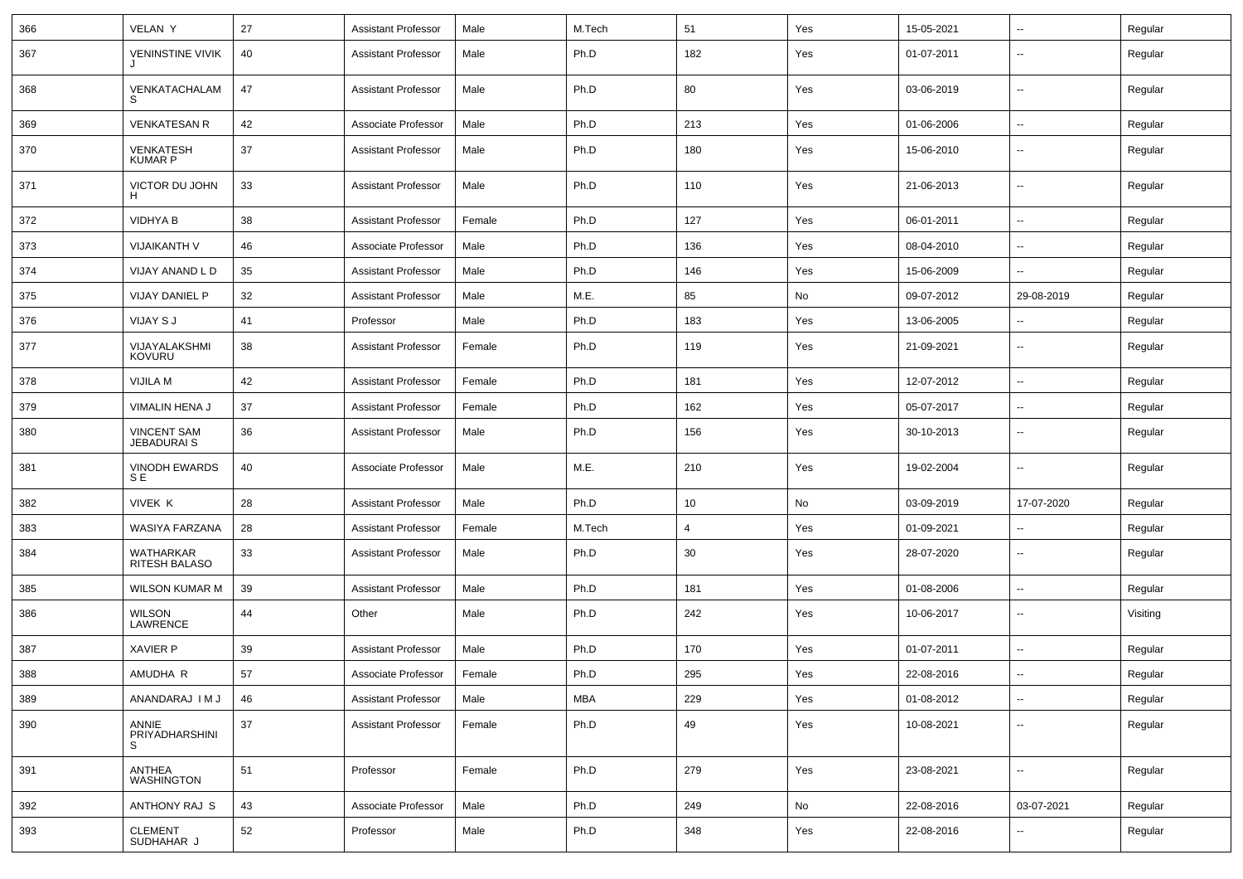| 366 | <b>VELAN Y</b>                           | 27 | <b>Assistant Professor</b> | Male   | M.Tech     | 51  | Yes | 15-05-2021 | $\sim$                   | Regular  |
|-----|------------------------------------------|----|----------------------------|--------|------------|-----|-----|------------|--------------------------|----------|
| 367 | <b>VENINSTINE VIVIK</b>                  | 40 | <b>Assistant Professor</b> | Male   | Ph.D       | 182 | Yes | 01-07-2011 | ۰.                       | Regular  |
| 368 | VENKATACHALAM<br>S                       | 47 | <b>Assistant Professor</b> | Male   | Ph.D       | 80  | Yes | 03-06-2019 | $\overline{\phantom{a}}$ | Regular  |
| 369 | <b>VENKATESAN R</b>                      | 42 | Associate Professor        | Male   | Ph.D       | 213 | Yes | 01-06-2006 | $\sim$                   | Regular  |
| 370 | <b>VENKATESH</b><br><b>KUMAR P</b>       | 37 | <b>Assistant Professor</b> | Male   | Ph.D       | 180 | Yes | 15-06-2010 | $\overline{\phantom{a}}$ | Regular  |
| 371 | VICTOR DU JOHN<br>H                      | 33 | <b>Assistant Professor</b> | Male   | Ph.D       | 110 | Yes | 21-06-2013 | $\overline{\phantom{a}}$ | Regular  |
| 372 | <b>VIDHYA B</b>                          | 38 | <b>Assistant Professor</b> | Female | Ph.D       | 127 | Yes | 06-01-2011 | $\overline{\phantom{a}}$ | Regular  |
| 373 | <b>VIJAIKANTH V</b>                      | 46 | Associate Professor        | Male   | Ph.D       | 136 | Yes | 08-04-2010 | ۰.                       | Regular  |
| 374 | VIJAY ANAND L D                          | 35 | <b>Assistant Professor</b> | Male   | Ph.D       | 146 | Yes | 15-06-2009 | $\overline{\phantom{a}}$ | Regular  |
| 375 | VIJAY DANIEL P                           | 32 | <b>Assistant Professor</b> | Male   | M.E.       | 85  | No  | 09-07-2012 | 29-08-2019               | Regular  |
| 376 | VIJAY S J                                | 41 | Professor                  | Male   | Ph.D       | 183 | Yes | 13-06-2005 | $\sim$                   | Regular  |
| 377 | VIJAYALAKSHMI<br><b>KOVURU</b>           | 38 | <b>Assistant Professor</b> | Female | Ph.D       | 119 | Yes | 21-09-2021 | $\overline{\phantom{a}}$ | Regular  |
| 378 | VIJILA M                                 | 42 | <b>Assistant Professor</b> | Female | Ph.D       | 181 | Yes | 12-07-2012 | $\sim$                   | Regular  |
| 379 | VIMALIN HENA J                           | 37 | <b>Assistant Professor</b> | Female | Ph.D       | 162 | Yes | 05-07-2017 | $\overline{\phantom{a}}$ | Regular  |
| 380 | <b>VINCENT SAM</b><br><b>JEBADURAI S</b> | 36 | <b>Assistant Professor</b> | Male   | Ph.D       | 156 | Yes | 30-10-2013 | ۰.                       | Regular  |
| 381 | <b>VINODH EWARDS</b><br>SE               | 40 | Associate Professor        | Male   | M.E.       | 210 | Yes | 19-02-2004 | ۰.                       | Regular  |
| 382 | VIVEK K                                  | 28 | <b>Assistant Professor</b> | Male   | Ph.D       | 10  | No  | 03-09-2019 | 17-07-2020               | Regular  |
| 383 | WASIYA FARZANA                           | 28 | <b>Assistant Professor</b> | Female | M.Tech     | 4   | Yes | 01-09-2021 | $\overline{\phantom{a}}$ | Regular  |
| 384 | WATHARKAR<br>RITESH BALASO               | 33 | <b>Assistant Professor</b> | Male   | Ph.D       | 30  | Yes | 28-07-2020 | $\sim$                   | Regular  |
| 385 | <b>WILSON KUMAR M</b>                    | 39 | <b>Assistant Professor</b> | Male   | Ph.D       | 181 | Yes | 01-08-2006 | $\sim$                   | Regular  |
| 386 | <b>WILSON</b><br>LAWRENCE                | 44 | Other                      | Male   | Ph.D       | 242 | Yes | 10-06-2017 | $\sim$                   | Visiting |
| 387 | <b>XAVIER P</b>                          | 39 | <b>Assistant Professor</b> | Male   | Ph.D       | 170 | Yes | 01-07-2011 | $\sim$                   | Regular  |
| 388 | AMUDHA R                                 | 57 | Associate Professor        | Female | Ph.D       | 295 | Yes | 22-08-2016 | $\sim$                   | Regular  |
| 389 | ANANDARAJ IM J                           | 46 | <b>Assistant Professor</b> | Male   | <b>MBA</b> | 229 | Yes | 01-08-2012 | $\overline{\phantom{a}}$ | Regular  |
| 390 | ANNIE<br>PRIYADHARSHINI<br>S.            | 37 | <b>Assistant Professor</b> | Female | Ph.D       | 49  | Yes | 10-08-2021 | $\overline{a}$           | Regular  |
| 391 | <b>ANTHEA</b><br><b>WASHINGTON</b>       | 51 | Professor                  | Female | Ph.D       | 279 | Yes | 23-08-2021 | $\sim$                   | Regular  |
| 392 | ANTHONY RAJ S                            | 43 | Associate Professor        | Male   | Ph.D       | 249 | No  | 22-08-2016 | 03-07-2021               | Regular  |
| 393 | <b>CLEMENT</b><br>SUDHAHAR J             | 52 | Professor                  | Male   | Ph.D       | 348 | Yes | 22-08-2016 | $\overline{a}$           | Regular  |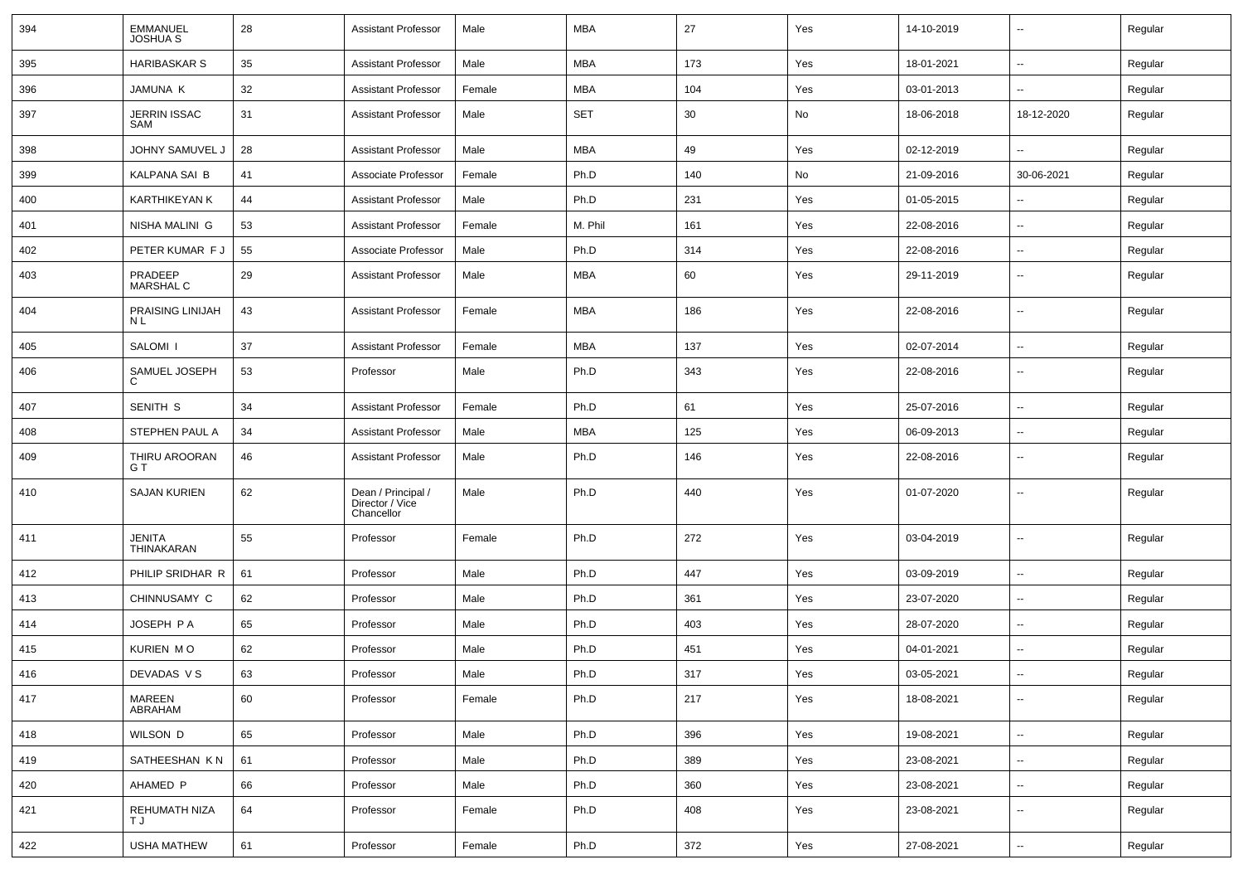| 394 | <b>EMMANUEL</b><br><b>JOSHUA S</b> | 28 | <b>Assistant Professor</b>                          | Male   | <b>MBA</b> | 27  | Yes | 14-10-2019 | $\sim$                   | Regular |
|-----|------------------------------------|----|-----------------------------------------------------|--------|------------|-----|-----|------------|--------------------------|---------|
| 395 | <b>HARIBASKAR S</b>                | 35 | <b>Assistant Professor</b>                          | Male   | <b>MBA</b> | 173 | Yes | 18-01-2021 | $\sim$                   | Regular |
| 396 | JAMUNA K                           | 32 | <b>Assistant Professor</b>                          | Female | <b>MBA</b> | 104 | Yes | 03-01-2013 | н.                       | Regular |
| 397 | JERRIN ISSAC<br>SAM                | 31 | <b>Assistant Professor</b>                          | Male   | <b>SET</b> | 30  | No  | 18-06-2018 | 18-12-2020               | Regular |
| 398 | JOHNY SAMUVEL J                    | 28 | <b>Assistant Professor</b>                          | Male   | <b>MBA</b> | 49  | Yes | 02-12-2019 | $\sim$                   | Regular |
| 399 | KALPANA SAI B                      | 41 | Associate Professor                                 | Female | Ph.D       | 140 | No  | 21-09-2016 | 30-06-2021               | Regular |
| 400 | <b>KARTHIKEYAN K</b>               | 44 | <b>Assistant Professor</b>                          | Male   | Ph.D       | 231 | Yes | 01-05-2015 |                          | Regular |
| 401 | NISHA MALINI G                     | 53 | <b>Assistant Professor</b>                          | Female | M. Phil    | 161 | Yes | 22-08-2016 | ⊷.                       | Regular |
| 402 | PETER KUMAR F J                    | 55 | Associate Professor                                 | Male   | Ph.D       | 314 | Yes | 22-08-2016 | $\sim$                   | Regular |
| 403 | PRADEEP<br><b>MARSHAL C</b>        | 29 | <b>Assistant Professor</b>                          | Male   | <b>MBA</b> | 60  | Yes | 29-11-2019 | $\sim$                   | Regular |
| 404 | PRAISING LINIJAH<br>N L            | 43 | <b>Assistant Professor</b>                          | Female | <b>MBA</b> | 186 | Yes | 22-08-2016 | $\sim$                   | Regular |
| 405 | SALOMI <sub>I</sub>                | 37 | <b>Assistant Professor</b>                          | Female | <b>MBA</b> | 137 | Yes | 02-07-2014 | н.                       | Regular |
| 406 | SAMUEL JOSEPH<br>C                 | 53 | Professor                                           | Male   | Ph.D       | 343 | Yes | 22-08-2016 | ⊶.                       | Regular |
| 407 | SENITH S                           | 34 | <b>Assistant Professor</b>                          | Female | Ph.D       | 61  | Yes | 25-07-2016 | ⊷.                       | Regular |
| 408 | STEPHEN PAUL A                     | 34 | <b>Assistant Professor</b>                          | Male   | <b>MBA</b> | 125 | Yes | 06-09-2013 | --                       | Regular |
| 409 | THIRU AROORAN<br>G T               | 46 | <b>Assistant Professor</b>                          | Male   | Ph.D       | 146 | Yes | 22-08-2016 | Ξ.                       | Regular |
| 410 | <b>SAJAN KURIEN</b>                | 62 | Dean / Principal /<br>Director / Vice<br>Chancellor | Male   | Ph.D       | 440 | Yes | 01-07-2020 |                          | Regular |
| 411 | JENITA<br>THINAKARAN               | 55 | Professor                                           | Female | Ph.D       | 272 | Yes | 03-04-2019 | $\overline{\phantom{a}}$ | Regular |
| 412 | PHILIP SRIDHAR R                   | 61 | Professor                                           | Male   | Ph.D       | 447 | Yes | 03-09-2019 | ⊷.                       | Regular |
| 413 | CHINNUSAMY C                       | 62 | Professor                                           | Male   | Ph.D       | 361 | Yes | 23-07-2020 | -−                       | Regular |
| 414 | JOSEPH PA                          | 65 | Professor                                           | Male   | Ph.D       | 403 | Yes | 28-07-2020 | $\sim$                   | Regular |
| 415 | KURIEN MO                          | 62 | Professor                                           | Male   | Ph.D       | 451 | Yes | 04-01-2021 | −−                       | Regular |
| 416 | DEVADAS V S                        | 63 | Professor                                           | Male   | Ph.D       | 317 | Yes | 03-05-2021 | $\overline{\phantom{a}}$ | Regular |
| 417 | MAREEN<br>ABRAHAM                  | 60 | Professor                                           | Female | Ph.D       | 217 | Yes | 18-08-2021 | $\sim$                   | Regular |
| 418 | WILSON D                           | 65 | Professor                                           | Male   | Ph.D       | 396 | Yes | 19-08-2021 | $\sim$                   | Regular |
| 419 | SATHEESHAN KN                      | 61 | Professor                                           | Male   | Ph.D       | 389 | Yes | 23-08-2021 | ⊶.                       | Regular |
| 420 | AHAMED P                           | 66 | Professor                                           | Male   | Ph.D       | 360 | Yes | 23-08-2021 | -−                       | Regular |
| 421 | REHUMATH NIZA<br>T J               | 64 | Professor                                           | Female | Ph.D       | 408 | Yes | 23-08-2021 | $\sim$                   | Regular |
| 422 | <b>USHA MATHEW</b>                 | 61 | Professor                                           | Female | Ph.D       | 372 | Yes | 27-08-2021 | Щ,                       | Regular |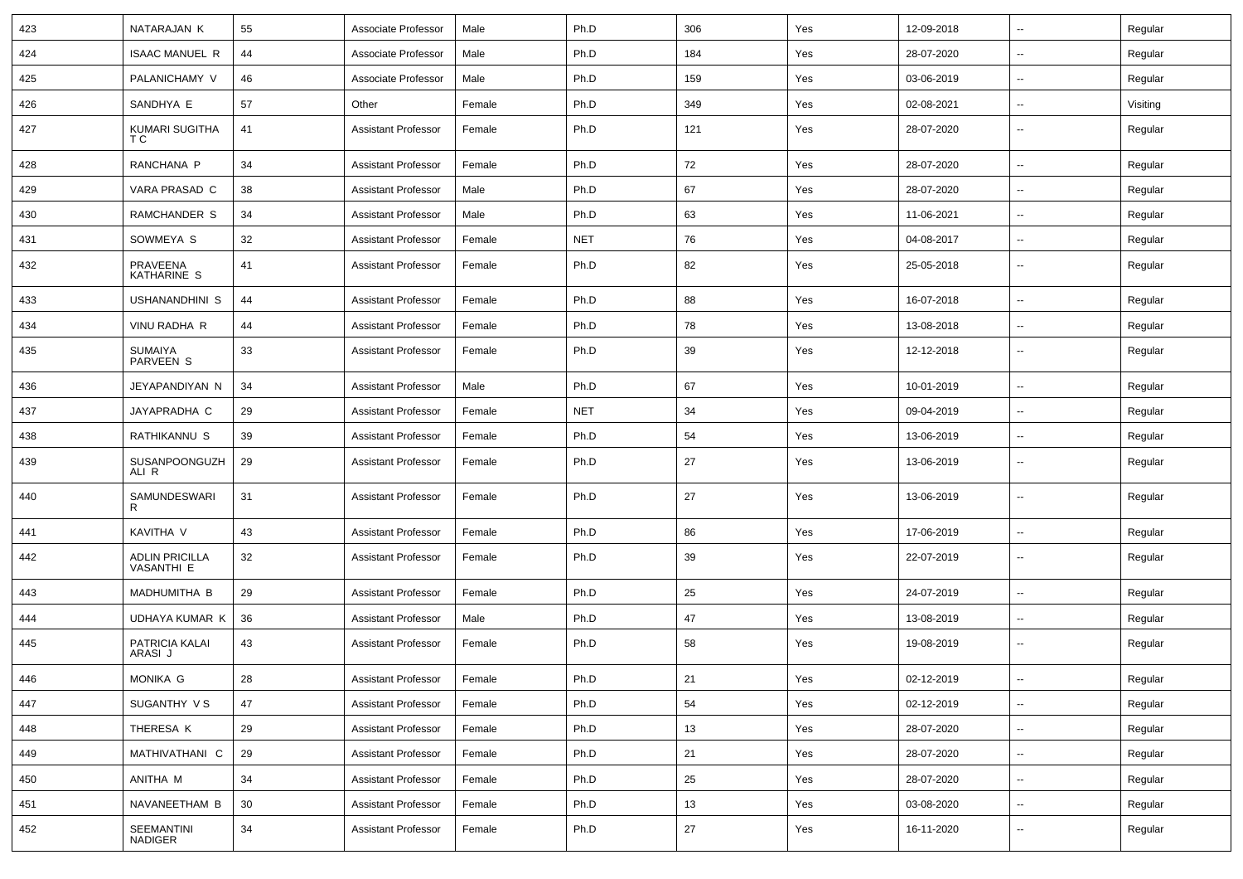| 423 | NATARAJAN K                                | 55 | Associate Professor        | Male   | Ph.D       | 306 | Yes | 12-09-2018 | $\sim$                   | Regular  |
|-----|--------------------------------------------|----|----------------------------|--------|------------|-----|-----|------------|--------------------------|----------|
| 424 | <b>ISAAC MANUEL R</b>                      | 44 | Associate Professor        | Male   | Ph.D       | 184 | Yes | 28-07-2020 | $\overline{\phantom{a}}$ | Regular  |
| 425 | PALANICHAMY V                              | 46 | Associate Professor        | Male   | Ph.D       | 159 | Yes | 03-06-2019 |                          | Regular  |
| 426 | SANDHYA E                                  | 57 | Other                      | Female | Ph.D       | 349 | Yes | 02-08-2021 | $\overline{\phantom{a}}$ | Visiting |
| 427 | KUMARI SUGITHA<br>ТC                       | 41 | <b>Assistant Professor</b> | Female | Ph.D       | 121 | Yes | 28-07-2020 | $\overline{\phantom{a}}$ | Regular  |
| 428 | RANCHANA P                                 | 34 | <b>Assistant Professor</b> | Female | Ph.D       | 72  | Yes | 28-07-2020 | $\overline{\phantom{a}}$ | Regular  |
| 429 | VARA PRASAD C                              | 38 | <b>Assistant Professor</b> | Male   | Ph.D       | 67  | Yes | 28-07-2020 | $\sim$                   | Regular  |
| 430 | RAMCHANDER S                               | 34 | <b>Assistant Professor</b> | Male   | Ph.D       | 63  | Yes | 11-06-2021 | $\sim$                   | Regular  |
| 431 | SOWMEYA S                                  | 32 | <b>Assistant Professor</b> | Female | <b>NET</b> | 76  | Yes | 04-08-2017 | $\overline{\phantom{a}}$ | Regular  |
| 432 | PRAVEENA<br>KATHARINE S                    | 41 | <b>Assistant Professor</b> | Female | Ph.D       | 82  | Yes | 25-05-2018 | --                       | Regular  |
| 433 | USHANANDHINI S                             | 44 | <b>Assistant Professor</b> | Female | Ph.D       | 88  | Yes | 16-07-2018 | $\overline{\phantom{a}}$ | Regular  |
| 434 | VINU RADHA R                               | 44 | <b>Assistant Professor</b> | Female | Ph.D       | 78  | Yes | 13-08-2018 | --                       | Regular  |
| 435 | <b>SUMAIYA</b><br>PARVEEN S                | 33 | Assistant Professor        | Female | Ph.D       | 39  | Yes | 12-12-2018 | --                       | Regular  |
| 436 | JEYAPANDIYAN N                             | 34 | <b>Assistant Professor</b> | Male   | Ph.D       | 67  | Yes | 10-01-2019 | --                       | Regular  |
| 437 | JAYAPRADHA C                               | 29 | <b>Assistant Professor</b> | Female | <b>NET</b> | 34  | Yes | 09-04-2019 | $\overline{\phantom{a}}$ | Regular  |
| 438 | RATHIKANNU S                               | 39 | <b>Assistant Professor</b> | Female | Ph.D       | 54  | Yes | 13-06-2019 | $\sim$                   | Regular  |
| 439 | SUSANPOONGUZH<br>ALI R                     | 29 | <b>Assistant Professor</b> | Female | Ph.D       | 27  | Yes | 13-06-2019 | $\overline{\phantom{a}}$ | Regular  |
| 440 | SAMUNDESWARI<br>R                          | 31 | <b>Assistant Professor</b> | Female | Ph.D       | 27  | Yes | 13-06-2019 | $\overline{\phantom{a}}$ | Regular  |
| 441 | KAVITHA V                                  | 43 | <b>Assistant Professor</b> | Female | Ph.D       | 86  | Yes | 17-06-2019 | -−                       | Regular  |
| 442 | <b>ADLIN PRICILLA</b><br><b>VASANTHI E</b> | 32 | <b>Assistant Professor</b> | Female | Ph.D       | 39  | Yes | 22-07-2019 | $\overline{\phantom{a}}$ | Regular  |
| 443 | MADHUMITHA B                               | 29 | <b>Assistant Professor</b> | Female | Ph.D       | 25  | Yes | 24-07-2019 | $\sim$                   | Regular  |
| 444 | UDHAYA KUMAR K                             | 36 | <b>Assistant Professor</b> | Male   | Ph.D       | 47  | Yes | 13-08-2019 | $\overline{\phantom{a}}$ | Regular  |
| 445 | PATRICIA KALAI<br>ARASI J                  | 43 | <b>Assistant Professor</b> | Female | Ph.D       | 58  | Yes | 19-08-2019 |                          | Regular  |
| 446 | MONIKA G                                   | 28 | Assistant Professor        | Female | Ph.D       | 21  | Yes | 02-12-2019 |                          | Regular  |
| 447 | SUGANTHY V S                               | 47 | <b>Assistant Professor</b> | Female | Ph.D       | 54  | Yes | 02-12-2019 | $\sim$                   | Regular  |
| 448 | THERESA K                                  | 29 | <b>Assistant Professor</b> | Female | Ph.D       | 13  | Yes | 28-07-2020 | $\overline{\phantom{a}}$ | Regular  |
| 449 | MATHIVATHANI C                             | 29 | Assistant Professor        | Female | Ph.D       | 21  | Yes | 28-07-2020 | $\sim$                   | Regular  |
| 450 | ANITHA M                                   | 34 | <b>Assistant Professor</b> | Female | Ph.D       | 25  | Yes | 28-07-2020 | $\overline{\phantom{a}}$ | Regular  |
| 451 | NAVANEETHAM B                              | 30 | <b>Assistant Professor</b> | Female | Ph.D       | 13  | Yes | 03-08-2020 | $\sim$                   | Regular  |
| 452 | SEEMANTINI<br>NADIGER                      | 34 | <b>Assistant Professor</b> | Female | Ph.D       | 27  | Yes | 16-11-2020 | н.                       | Regular  |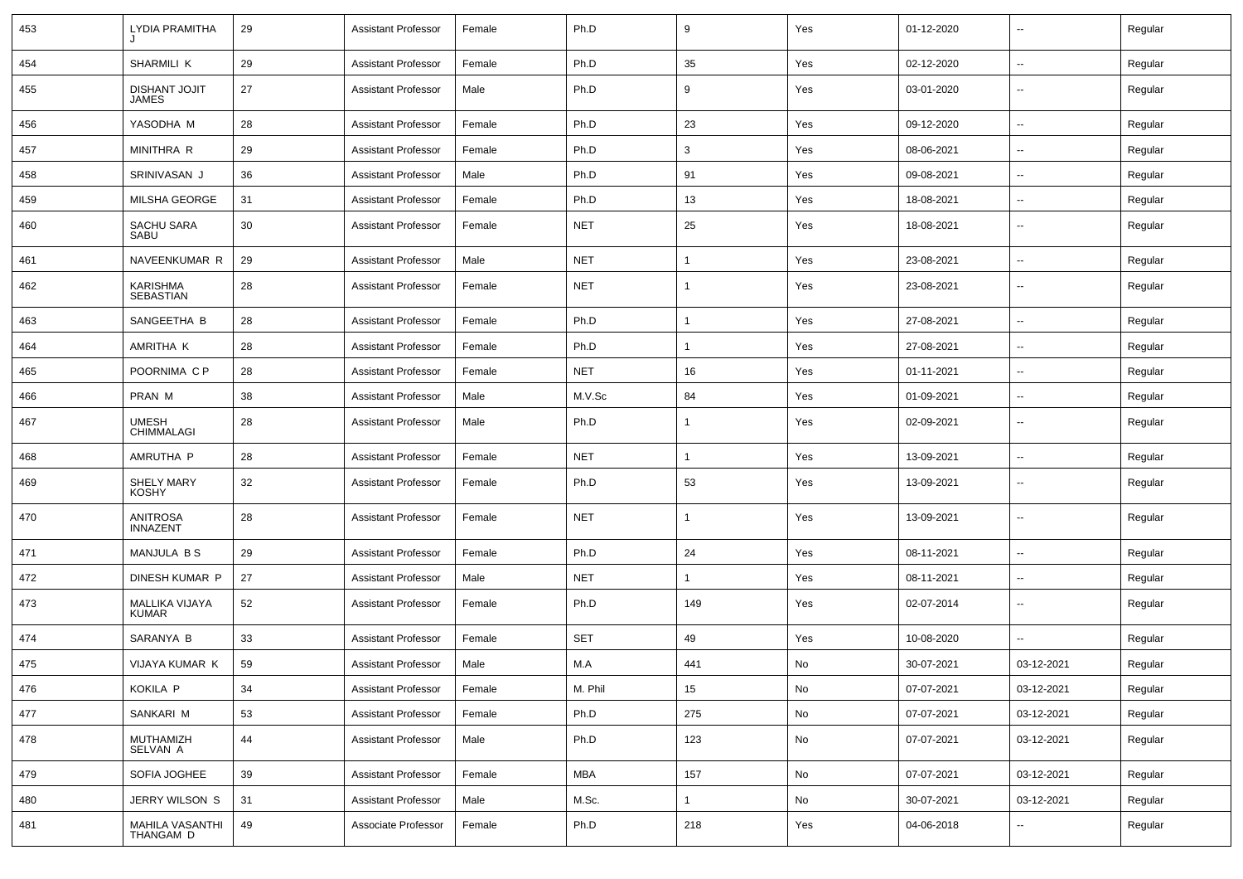| 453 | <b>LYDIA PRAMITHA</b>               | 29 | <b>Assistant Professor</b> | Female | Ph.D       | 9              | Yes                          | 01-12-2020 | $\overline{\phantom{a}}$ | Regular |
|-----|-------------------------------------|----|----------------------------|--------|------------|----------------|------------------------------|------------|--------------------------|---------|
| 454 | SHARMILI K                          | 29 | <b>Assistant Professor</b> | Female | Ph.D       | 35             | Yes                          | 02-12-2020 | $\overline{\phantom{a}}$ | Regular |
| 455 | DISHANT JOJIT<br><b>JAMES</b>       | 27 | <b>Assistant Professor</b> | Male   | Ph.D       | 9              | Yes                          | 03-01-2020 | --                       | Regular |
| 456 | YASODHA M                           | 28 | <b>Assistant Professor</b> | Female | Ph.D       | 23             | Yes                          | 09-12-2020 | --                       | Regular |
| 457 | MINITHRA R                          | 29 | <b>Assistant Professor</b> | Female | Ph.D       | 3              | Yes                          | 08-06-2021 | $\overline{\phantom{a}}$ | Regular |
| 458 | SRINIVASAN J                        | 36 | <b>Assistant Professor</b> | Male   | Ph.D       | 91             | Yes                          | 09-08-2021 | --                       | Regular |
| 459 | MILSHA GEORGE                       | 31 | <b>Assistant Professor</b> | Female | Ph.D       | 13             | Yes                          | 18-08-2021 | --                       | Regular |
| 460 | SACHU SARA<br>SABU                  | 30 | <b>Assistant Professor</b> | Female | <b>NET</b> | 25             | Yes                          | 18-08-2021 | $\overline{\phantom{a}}$ | Regular |
| 461 | NAVEENKUMAR R                       | 29 | <b>Assistant Professor</b> | Male   | <b>NET</b> | -1             | Yes                          | 23-08-2021 | $\overline{\phantom{a}}$ | Regular |
| 462 | <b>KARISHMA</b><br><b>SEBASTIAN</b> | 28 | <b>Assistant Professor</b> | Female | <b>NET</b> | -1             | Yes                          | 23-08-2021 | --                       | Regular |
| 463 | SANGEETHA B                         | 28 | <b>Assistant Professor</b> | Female | Ph.D       |                | Yes                          | 27-08-2021 | $\overline{\phantom{a}}$ | Regular |
| 464 | AMRITHA K                           | 28 | <b>Assistant Professor</b> | Female | Ph.D       | -1             | Yes                          | 27-08-2021 | $\overline{\phantom{a}}$ | Regular |
| 465 | POORNIMA C P                        | 28 | <b>Assistant Professor</b> | Female | <b>NET</b> | 16             | Yes                          | 01-11-2021 | $\overline{\phantom{a}}$ | Regular |
| 466 | PRAN M                              | 38 | <b>Assistant Professor</b> | Male   | M.V.Sc     | 84             | Yes                          | 01-09-2021 | $\overline{\phantom{a}}$ | Regular |
| 467 | <b>UMESH</b><br>CHIMMALAGI          | 28 | <b>Assistant Professor</b> | Male   | Ph.D       | $\mathbf 1$    | Yes                          | 02-09-2021 | --                       | Regular |
| 468 | AMRUTHA P                           | 28 | <b>Assistant Professor</b> | Female | <b>NET</b> | -1             | Yes                          | 13-09-2021 | --                       | Regular |
| 469 | SHELY MARY<br><b>KOSHY</b>          | 32 | <b>Assistant Professor</b> | Female | Ph.D       | 53             | Yes                          | 13-09-2021 | $\overline{\phantom{a}}$ | Regular |
| 470 | <b>ANITROSA</b><br><b>INNAZENT</b>  | 28 | <b>Assistant Professor</b> | Female | <b>NET</b> | $\overline{1}$ | Yes                          | 13-09-2021 | $\overline{\phantom{a}}$ | Regular |
| 471 | MANJULA B S                         | 29 | <b>Assistant Professor</b> | Female | Ph.D       | 24             | Yes                          | 08-11-2021 | $\overline{\phantom{a}}$ | Regular |
| 472 | DINESH KUMAR P                      | 27 | <b>Assistant Professor</b> | Male   | <b>NET</b> |                | Yes                          | 08-11-2021 | $\overline{\phantom{a}}$ | Regular |
| 473 | MALLIKA VIJAYA<br>KUMAR             | 52 | <b>Assistant Professor</b> | Female | Ph.D       | 149            | Yes                          | 02-07-2014 | --                       | Regular |
| 474 | SARANYA B                           | 33 | <b>Assistant Professor</b> | Female | <b>SET</b> | 49             | Yes                          | 10-08-2020 | --                       | Regular |
| 475 | VIJAYA KUMAR K                      | 59 | <b>Assistant Professor</b> | Male   | M.A        | 441            | No                           | 30-07-2021 | 03-12-2021               | Regular |
| 476 | KOKILA P                            | 34 | <b>Assistant Professor</b> | Female | M. Phil    | 15             | $\operatorname{\mathsf{No}}$ | 07-07-2021 | 03-12-2021               | Regular |
| 477 | SANKARI M                           | 53 | <b>Assistant Professor</b> | Female | Ph.D       | 275            | No                           | 07-07-2021 | 03-12-2021               | Regular |
| 478 | MUTHAMIZH<br>SELVAN A               | 44 | <b>Assistant Professor</b> | Male   | Ph.D       | 123            | No                           | 07-07-2021 | 03-12-2021               | Regular |
| 479 | SOFIA JOGHEE                        | 39 | <b>Assistant Professor</b> | Female | <b>MBA</b> | 157            | No                           | 07-07-2021 | 03-12-2021               | Regular |
| 480 | JERRY WILSON S                      | 31 | <b>Assistant Professor</b> | Male   | M.Sc.      | 1              | No                           | 30-07-2021 | 03-12-2021               | Regular |
| 481 | MAHILA VASANTHI<br>THANGAM D        | 49 | Associate Professor        | Female | Ph.D       | 218            | Yes                          | 04-06-2018 | --                       | Regular |